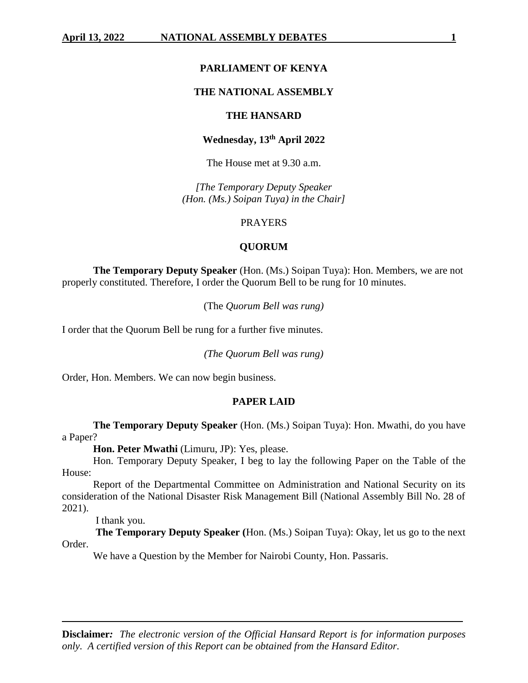### **PARLIAMENT OF KENYA**

### **THE NATIONAL ASSEMBLY**

# **THE HANSARD**

# **Wednesday, 13th April 2022**

The House met at 9.30 a.m.

*[The Temporary Deputy Speaker (Hon. (Ms.) Soipan Tuya) in the Chair]*

#### PRAYERS

# **QUORUM**

**The Temporary Deputy Speaker** (Hon. (Ms.) Soipan Tuya): Hon. Members, we are not properly constituted. Therefore, I order the Quorum Bell to be rung for 10 minutes.

(The *Quorum Bell was rung)*

I order that the Quorum Bell be rung for a further five minutes.

*(The Quorum Bell was rung)*

Order, Hon. Members. We can now begin business.

#### **PAPER LAID**

**The Temporary Deputy Speaker** (Hon. (Ms.) Soipan Tuya): Hon. Mwathi, do you have a Paper?

**Hon. Peter Mwathi** (Limuru, JP): Yes, please.

Hon. Temporary Deputy Speaker, I beg to lay the following Paper on the Table of the House:

Report of the Departmental Committee on Administration and National Security on its consideration of the National Disaster Risk Management Bill (National Assembly Bill No. 28 of 2021).

I thank you.

**The Temporary Deputy Speaker (**Hon. (Ms.) Soipan Tuya): Okay, let us go to the next Order.

We have a Question by the Member for Nairobi County, Hon. Passaris.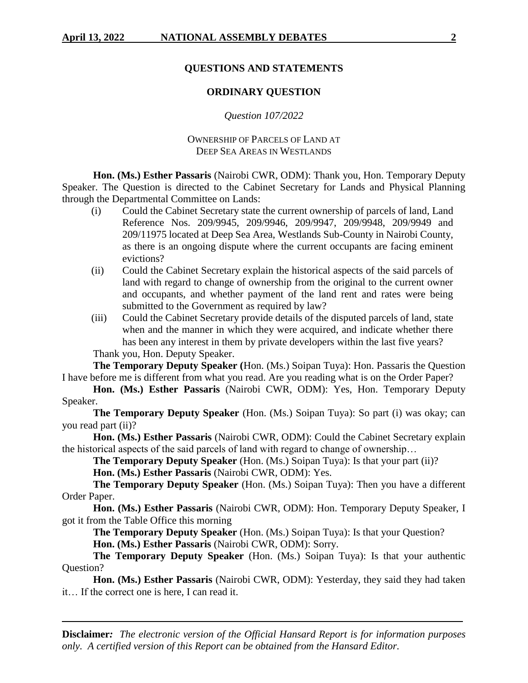# **QUESTIONS AND STATEMENTS**

# **ORDINARY QUESTION**

*Question 107/2022*

OWNERSHIP OF PARCELS OF LAND AT DEEP SEA AREAS IN WESTLANDS

**Hon. (Ms.) Esther Passaris** (Nairobi CWR, ODM): Thank you, Hon. Temporary Deputy Speaker. The Question is directed to the Cabinet Secretary for Lands and Physical Planning through the Departmental Committee on Lands:

- (i) Could the Cabinet Secretary state the current ownership of parcels of land, Land Reference Nos. 209/9945, 209/9946, 209/9947, 209/9948, 209/9949 and 209/11975 located at Deep Sea Area, Westlands Sub-County in Nairobi County, as there is an ongoing dispute where the current occupants are facing eminent evictions?
- (ii) Could the Cabinet Secretary explain the historical aspects of the said parcels of land with regard to change of ownership from the original to the current owner and occupants, and whether payment of the land rent and rates were being submitted to the Government as required by law?
- (iii) Could the Cabinet Secretary provide details of the disputed parcels of land, state when and the manner in which they were acquired, and indicate whether there has been any interest in them by private developers within the last five years? Thank you, Hon. Deputy Speaker.

**The Temporary Deputy Speaker (**Hon. (Ms.) Soipan Tuya): Hon. Passaris the Question I have before me is different from what you read. Are you reading what is on the Order Paper?

**Hon. (Ms.) Esther Passaris** (Nairobi CWR, ODM): Yes, Hon. Temporary Deputy Speaker.

**The Temporary Deputy Speaker** (Hon. (Ms.) Soipan Tuya): So part (i) was okay; can you read part (ii)?

**Hon. (Ms.) Esther Passaris** (Nairobi CWR, ODM): Could the Cabinet Secretary explain the historical aspects of the said parcels of land with regard to change of ownership…

**The Temporary Deputy Speaker** (Hon. (Ms.) Soipan Tuya): Is that your part (ii)?

**Hon. (Ms.) Esther Passaris** (Nairobi CWR, ODM): Yes.

**The Temporary Deputy Speaker** (Hon. (Ms.) Soipan Tuya): Then you have a different Order Paper.

**Hon. (Ms.) Esther Passaris** (Nairobi CWR, ODM): Hon. Temporary Deputy Speaker, I got it from the Table Office this morning

**The Temporary Deputy Speaker** (Hon. (Ms.) Soipan Tuya): Is that your Question?

**Hon. (Ms.) Esther Passaris** (Nairobi CWR, ODM): Sorry.

**The Temporary Deputy Speaker** (Hon. (Ms.) Soipan Tuya): Is that your authentic Question?

**Hon. (Ms.) Esther Passaris** (Nairobi CWR, ODM): Yesterday, they said they had taken it… If the correct one is here, I can read it.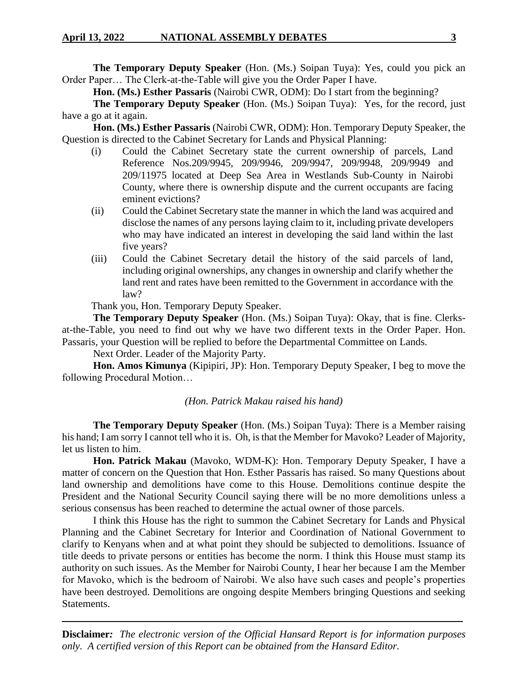**The Temporary Deputy Speaker** (Hon. (Ms.) Soipan Tuya): Yes, could you pick an Order Paper… The Clerk-at-the-Table will give you the Order Paper I have.

**Hon. (Ms.) Esther Passaris** (Nairobi CWR, ODM): Do I start from the beginning?

**The Temporary Deputy Speaker** (Hon. (Ms.) Soipan Tuya): Yes, for the record, just have a go at it again.

**Hon. (Ms.) Esther Passaris** (Nairobi CWR, ODM): Hon. Temporary Deputy Speaker, the Question is directed to the Cabinet Secretary for Lands and Physical Planning:

- (i) Could the Cabinet Secretary state the current ownership of parcels, Land Reference Nos.209/9945, 209/9946, 209/9947, 209/9948, 209/9949 and 209/11975 located at Deep Sea Area in Westlands Sub-County in Nairobi County, where there is ownership dispute and the current occupants are facing eminent evictions?
- (ii) Could the Cabinet Secretary state the manner in which the land was acquired and disclose the names of any persons laying claim to it, including private developers who may have indicated an interest in developing the said land within the last five years?
- (iii) Could the Cabinet Secretary detail the history of the said parcels of land, including original ownerships, any changes in ownership and clarify whether the land rent and rates have been remitted to the Government in accordance with the law?

Thank you, Hon. Temporary Deputy Speaker.

**The Temporary Deputy Speaker** (Hon. (Ms.) Soipan Tuya): Okay, that is fine. Clerksat-the-Table, you need to find out why we have two different texts in the Order Paper. Hon. Passaris, your Question will be replied to before the Departmental Committee on Lands.

Next Order. Leader of the Majority Party.

**Hon. Amos Kimunya** (Kipipiri, JP): Hon. Temporary Deputy Speaker, I beg to move the following Procedural Motion…

### *(Hon. Patrick Makau raised his hand)*

**The Temporary Deputy Speaker** (Hon. (Ms.) Soipan Tuya): There is a Member raising his hand; I am sorry I cannot tell who it is. Oh, is that the Member for Mavoko? Leader of Majority, let us listen to him.

**Hon. Patrick Makau** (Mavoko, WDM-K): Hon. Temporary Deputy Speaker, I have a matter of concern on the Question that Hon. Esther Passaris has raised. So many Questions about land ownership and demolitions have come to this House. Demolitions continue despite the President and the National Security Council saying there will be no more demolitions unless a serious consensus has been reached to determine the actual owner of those parcels.

I think this House has the right to summon the Cabinet Secretary for Lands and Physical Planning and the Cabinet Secretary for Interior and Coordination of National Government to clarify to Kenyans when and at what point they should be subjected to demolitions. Issuance of title deeds to private persons or entities has become the norm. I think this House must stamp its authority on such issues. As the Member for Nairobi County, I hear her because I am the Member for Mavoko, which is the bedroom of Nairobi. We also have such cases and people's properties have been destroyed. Demolitions are ongoing despite Members bringing Questions and seeking Statements.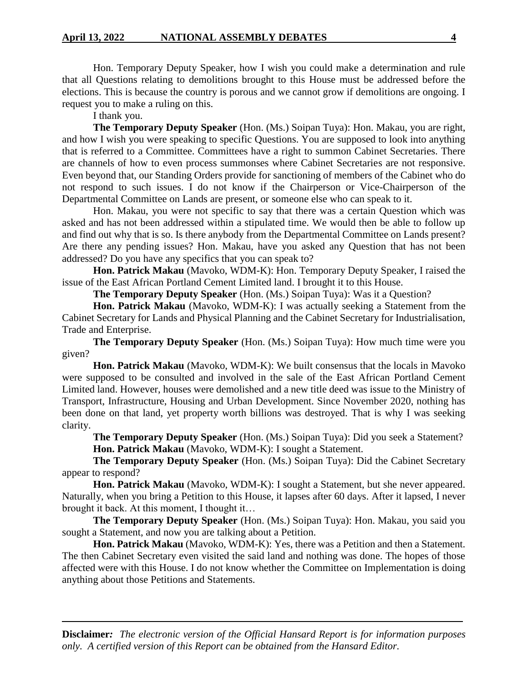Hon. Temporary Deputy Speaker, how I wish you could make a determination and rule that all Questions relating to demolitions brought to this House must be addressed before the elections. This is because the country is porous and we cannot grow if demolitions are ongoing. I request you to make a ruling on this.

I thank you.

**The Temporary Deputy Speaker** (Hon. (Ms.) Soipan Tuya): Hon. Makau, you are right, and how I wish you were speaking to specific Questions. You are supposed to look into anything that is referred to a Committee. Committees have a right to summon Cabinet Secretaries. There are channels of how to even process summonses where Cabinet Secretaries are not responsive. Even beyond that, our Standing Orders provide for sanctioning of members of the Cabinet who do not respond to such issues. I do not know if the Chairperson or Vice-Chairperson of the Departmental Committee on Lands are present, or someone else who can speak to it.

Hon. Makau, you were not specific to say that there was a certain Question which was asked and has not been addressed within a stipulated time. We would then be able to follow up and find out why that is so. Is there anybody from the Departmental Committee on Lands present? Are there any pending issues? Hon. Makau, have you asked any Question that has not been addressed? Do you have any specifics that you can speak to?

**Hon. Patrick Makau** (Mavoko, WDM-K): Hon. Temporary Deputy Speaker, I raised the issue of the East African Portland Cement Limited land. I brought it to this House.

**The Temporary Deputy Speaker** (Hon. (Ms.) Soipan Tuya): Was it a Question?

**Hon. Patrick Makau** (Mavoko, WDM-K): I was actually seeking a Statement from the Cabinet Secretary for Lands and Physical Planning and the Cabinet Secretary for Industrialisation, Trade and Enterprise.

**The Temporary Deputy Speaker** (Hon. (Ms.) Soipan Tuya): How much time were you given?

**Hon. Patrick Makau** (Mavoko, WDM-K): We built consensus that the locals in Mavoko were supposed to be consulted and involved in the sale of the East African Portland Cement Limited land. However, houses were demolished and a new title deed was issue to the Ministry of Transport, Infrastructure, Housing and Urban Development. Since November 2020, nothing has been done on that land, yet property worth billions was destroyed. That is why I was seeking clarity.

**The Temporary Deputy Speaker** (Hon. (Ms.) Soipan Tuya): Did you seek a Statement? **Hon. Patrick Makau** (Mavoko, WDM-K): I sought a Statement.

**The Temporary Deputy Speaker** (Hon. (Ms.) Soipan Tuya): Did the Cabinet Secretary appear to respond?

**Hon. Patrick Makau** (Mavoko, WDM-K): I sought a Statement, but she never appeared. Naturally, when you bring a Petition to this House, it lapses after 60 days. After it lapsed, I never brought it back. At this moment, I thought it…

**The Temporary Deputy Speaker** (Hon. (Ms.) Soipan Tuya): Hon. Makau, you said you sought a Statement, and now you are talking about a Petition.

**Hon. Patrick Makau** (Mavoko, WDM-K): Yes, there was a Petition and then a Statement. The then Cabinet Secretary even visited the said land and nothing was done. The hopes of those affected were with this House. I do not know whether the Committee on Implementation is doing anything about those Petitions and Statements.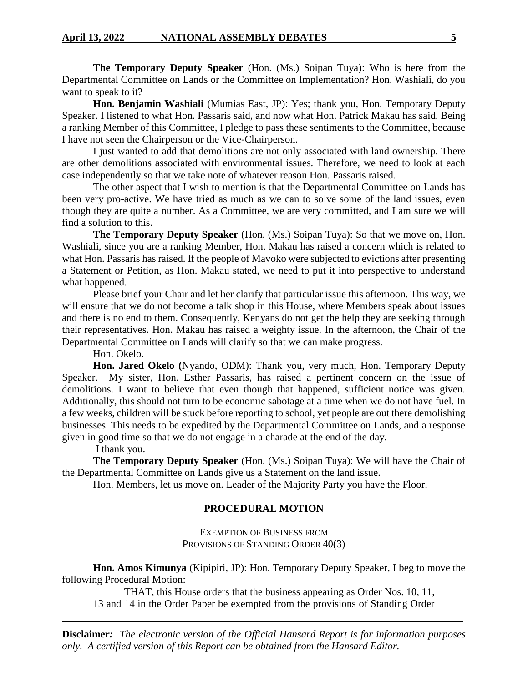**The Temporary Deputy Speaker** (Hon. (Ms.) Soipan Tuya): Who is here from the Departmental Committee on Lands or the Committee on Implementation? Hon. Washiali, do you want to speak to it?

**Hon. Benjamin Washiali** (Mumias East, JP): Yes; thank you, Hon. Temporary Deputy Speaker. I listened to what Hon. Passaris said, and now what Hon. Patrick Makau has said. Being a ranking Member of this Committee, I pledge to pass these sentiments to the Committee, because I have not seen the Chairperson or the Vice-Chairperson.

I just wanted to add that demolitions are not only associated with land ownership. There are other demolitions associated with environmental issues. Therefore, we need to look at each case independently so that we take note of whatever reason Hon. Passaris raised.

The other aspect that I wish to mention is that the Departmental Committee on Lands has been very pro-active. We have tried as much as we can to solve some of the land issues, even though they are quite a number. As a Committee, we are very committed, and I am sure we will find a solution to this.

**The Temporary Deputy Speaker** (Hon. (Ms.) Soipan Tuya): So that we move on, Hon. Washiali, since you are a ranking Member, Hon. Makau has raised a concern which is related to what Hon. Passaris has raised. If the people of Mavoko were subjected to evictions after presenting a Statement or Petition, as Hon. Makau stated, we need to put it into perspective to understand what happened.

Please brief your Chair and let her clarify that particular issue this afternoon. This way, we will ensure that we do not become a talk shop in this House, where Members speak about issues and there is no end to them. Consequently, Kenyans do not get the help they are seeking through their representatives. Hon. Makau has raised a weighty issue. In the afternoon, the Chair of the Departmental Committee on Lands will clarify so that we can make progress.

Hon. Okelo.

**Hon. Jared Okelo (**Nyando, ODM): Thank you, very much, Hon. Temporary Deputy Speaker. My sister, Hon. Esther Passaris, has raised a pertinent concern on the issue of demolitions. I want to believe that even though that happened, sufficient notice was given. Additionally, this should not turn to be economic sabotage at a time when we do not have fuel. In a few weeks, children will be stuck before reporting to school, yet people are out there demolishing businesses. This needs to be expedited by the Departmental Committee on Lands, and a response given in good time so that we do not engage in a charade at the end of the day.

I thank you.

**The Temporary Deputy Speaker** (Hon. (Ms.) Soipan Tuya): We will have the Chair of the Departmental Committee on Lands give us a Statement on the land issue.

Hon. Members, let us move on. Leader of the Majority Party you have the Floor.

### **PROCEDURAL MOTION**

EXEMPTION OF BUSINESS FROM PROVISIONS OF STANDING ORDER  $40(3)$ 

**Hon. Amos Kimunya** (Kipipiri, JP): Hon. Temporary Deputy Speaker, I beg to move the following Procedural Motion:

THAT, this House orders that the business appearing as Order Nos. 10, 11, 13 and 14 in the Order Paper be exempted from the provisions of Standing Order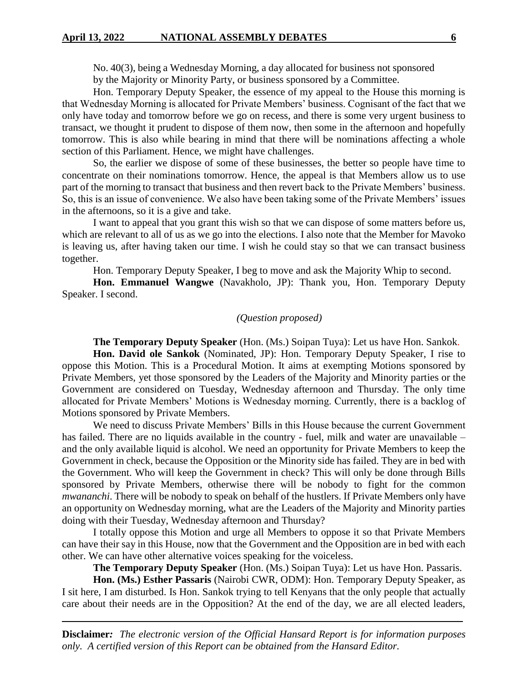#### **April 13, 2022 NATIONAL ASSEMBLY DEBATES 6**

No. 40(3), being a Wednesday Morning, a day allocated for business not sponsored by the Majority or Minority Party, or business sponsored by a Committee.

Hon. Temporary Deputy Speaker, the essence of my appeal to the House this morning is that Wednesday Morning is allocated for Private Members' business. Cognisant of the fact that we only have today and tomorrow before we go on recess, and there is some very urgent business to transact, we thought it prudent to dispose of them now, then some in the afternoon and hopefully tomorrow. This is also while bearing in mind that there will be nominations affecting a whole section of this Parliament. Hence, we might have challenges.

So, the earlier we dispose of some of these businesses, the better so people have time to concentrate on their nominations tomorrow. Hence, the appeal is that Members allow us to use part of the morning to transact that business and then revert back to the Private Members' business. So, this is an issue of convenience. We also have been taking some of the Private Members' issues in the afternoons, so it is a give and take.

I want to appeal that you grant this wish so that we can dispose of some matters before us, which are relevant to all of us as we go into the elections. I also note that the Member for Mavoko is leaving us, after having taken our time. I wish he could stay so that we can transact business together.

Hon. Temporary Deputy Speaker, I beg to move and ask the Majority Whip to second.

**Hon. Emmanuel Wangwe** (Navakholo, JP): Thank you, Hon. Temporary Deputy Speaker. I second.

# *(Question proposed)*

**The Temporary Deputy Speaker** (Hon. (Ms.) Soipan Tuya): Let us have Hon. Sankok.

**Hon. David ole Sankok** (Nominated, JP): Hon. Temporary Deputy Speaker, I rise to oppose this Motion. This is a Procedural Motion. It aims at exempting Motions sponsored by Private Members, yet those sponsored by the Leaders of the Majority and Minority parties or the Government are considered on Tuesday, Wednesday afternoon and Thursday. The only time allocated for Private Members' Motions is Wednesday morning. Currently, there is a backlog of Motions sponsored by Private Members.

We need to discuss Private Members' Bills in this House because the current Government has failed. There are no liquids available in the country - fuel, milk and water are unavailable – and the only available liquid is alcohol. We need an opportunity for Private Members to keep the Government in check, because the Opposition or the Minority side has failed. They are in bed with the Government. Who will keep the Government in check? This will only be done through Bills sponsored by Private Members, otherwise there will be nobody to fight for the common *mwananchi*. There will be nobody to speak on behalf of the hustlers. If Private Members only have an opportunity on Wednesday morning, what are the Leaders of the Majority and Minority parties doing with their Tuesday, Wednesday afternoon and Thursday?

I totally oppose this Motion and urge all Members to oppose it so that Private Members can have their say in this House, now that the Government and the Opposition are in bed with each other. We can have other alternative voices speaking for the voiceless.

**The Temporary Deputy Speaker** (Hon. (Ms.) Soipan Tuya): Let us have Hon. Passaris.

**Hon. (Ms.) Esther Passaris** (Nairobi CWR, ODM): Hon. Temporary Deputy Speaker, as I sit here, I am disturbed. Is Hon. Sankok trying to tell Kenyans that the only people that actually care about their needs are in the Opposition? At the end of the day, we are all elected leaders,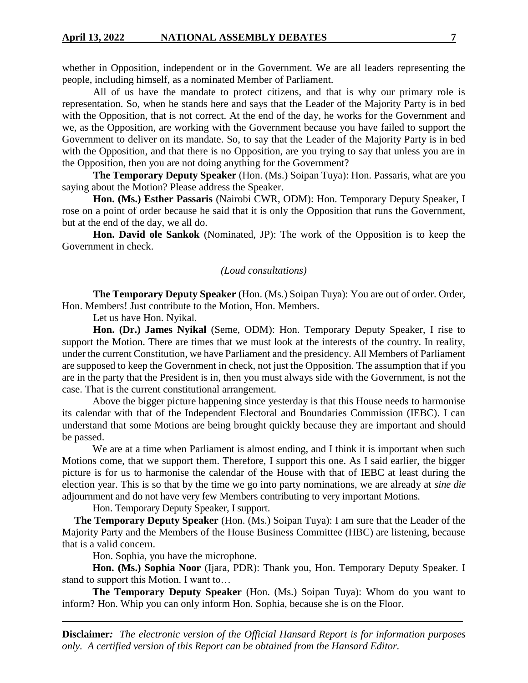whether in Opposition, independent or in the Government. We are all leaders representing the people, including himself, as a nominated Member of Parliament.

All of us have the mandate to protect citizens, and that is why our primary role is representation. So, when he stands here and says that the Leader of the Majority Party is in bed with the Opposition, that is not correct. At the end of the day, he works for the Government and we, as the Opposition, are working with the Government because you have failed to support the Government to deliver on its mandate. So, to say that the Leader of the Majority Party is in bed with the Opposition, and that there is no Opposition, are you trying to say that unless you are in the Opposition, then you are not doing anything for the Government?

**The Temporary Deputy Speaker** (Hon. (Ms.) Soipan Tuya): Hon. Passaris, what are you saying about the Motion? Please address the Speaker.

**Hon. (Ms.) Esther Passaris** (Nairobi CWR, ODM): Hon. Temporary Deputy Speaker, I rose on a point of order because he said that it is only the Opposition that runs the Government, but at the end of the day, we all do.

**Hon. David ole Sankok** (Nominated, JP): The work of the Opposition is to keep the Government in check.

#### *(Loud consultations)*

**The Temporary Deputy Speaker** (Hon. (Ms.) Soipan Tuya): You are out of order. Order, Hon. Members! Just contribute to the Motion, Hon. Members.

Let us have Hon. Nyikal.

**Hon. (Dr.) James Nyikal** (Seme, ODM): Hon. Temporary Deputy Speaker, I rise to support the Motion. There are times that we must look at the interests of the country. In reality, under the current Constitution, we have Parliament and the presidency. All Members of Parliament are supposed to keep the Government in check, not just the Opposition. The assumption that if you are in the party that the President is in, then you must always side with the Government, is not the case. That is the current constitutional arrangement.

Above the bigger picture happening since yesterday is that this House needs to harmonise its calendar with that of the Independent Electoral and Boundaries Commission (IEBC). I can understand that some Motions are being brought quickly because they are important and should be passed.

We are at a time when Parliament is almost ending, and I think it is important when such Motions come, that we support them. Therefore, I support this one. As I said earlier, the bigger picture is for us to harmonise the calendar of the House with that of IEBC at least during the election year. This is so that by the time we go into party nominations, we are already at *sine die*  adjournment and do not have very few Members contributing to very important Motions.

Hon. Temporary Deputy Speaker, I support.

**The Temporary Deputy Speaker** (Hon. (Ms.) Soipan Tuya): I am sure that the Leader of the Majority Party and the Members of the House Business Committee (HBC) are listening, because that is a valid concern.

Hon. Sophia, you have the microphone.

**Hon. (Ms.) Sophia Noor** (Ijara, PDR): Thank you, Hon. Temporary Deputy Speaker. I stand to support this Motion. I want to…

**The Temporary Deputy Speaker** (Hon. (Ms.) Soipan Tuya): Whom do you want to inform? Hon. Whip you can only inform Hon. Sophia, because she is on the Floor.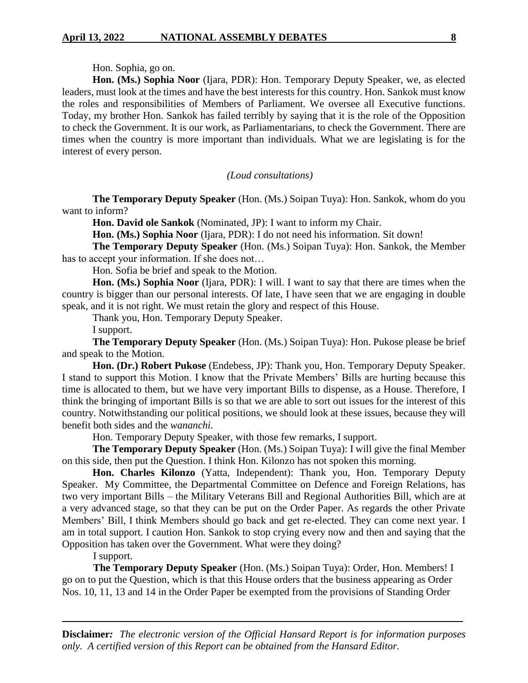#### Hon. Sophia, go on.

**Hon. (Ms.) Sophia Noor** (Ijara, PDR): Hon. Temporary Deputy Speaker, we, as elected leaders, must look at the times and have the best interests for this country. Hon. Sankok must know the roles and responsibilities of Members of Parliament. We oversee all Executive functions. Today, my brother Hon. Sankok has failed terribly by saying that it is the role of the Opposition to check the Government. It is our work, as Parliamentarians, to check the Government. There are times when the country is more important than individuals. What we are legislating is for the interest of every person.

*(Loud consultations)*

**The Temporary Deputy Speaker** (Hon. (Ms.) Soipan Tuya): Hon. Sankok, whom do you want to inform?

**Hon. David ole Sankok** (Nominated, JP): I want to inform my Chair.

**Hon. (Ms.) Sophia Noor** (Ijara, PDR): I do not need his information. Sit down!

**The Temporary Deputy Speaker** (Hon. (Ms.) Soipan Tuya): Hon. Sankok, the Member has to accept your information. If she does not…

Hon. Sofia be brief and speak to the Motion.

**Hon. (Ms.) Sophia Noor** (Ijara, PDR): I will. I want to say that there are times when the country is bigger than our personal interests. Of late, I have seen that we are engaging in double speak, and it is not right. We must retain the glory and respect of this House.

Thank you, Hon. Temporary Deputy Speaker.

I support.

**The Temporary Deputy Speaker** (Hon. (Ms.) Soipan Tuya): Hon. Pukose please be brief and speak to the Motion.

**Hon. (Dr.) Robert Pukose** (Endebess, JP): Thank you, Hon. Temporary Deputy Speaker. I stand to support this Motion. I know that the Private Members' Bills are hurting because this time is allocated to them, but we have very important Bills to dispense, as a House. Therefore, I think the bringing of important Bills is so that we are able to sort out issues for the interest of this country. Notwithstanding our political positions, we should look at these issues, because they will benefit both sides and the *wananchi.* 

Hon. Temporary Deputy Speaker, with those few remarks, I support.

**The Temporary Deputy Speaker** (Hon. (Ms.) Soipan Tuya): I will give the final Member on this side, then put the Question. I think Hon. Kilonzo has not spoken this morning.

**Hon. Charles Kilonzo** (Yatta, Independent): Thank you, Hon. Temporary Deputy Speaker. My Committee, the Departmental Committee on Defence and Foreign Relations, has two very important Bills – the Military Veterans Bill and Regional Authorities Bill, which are at a very advanced stage, so that they can be put on the Order Paper. As regards the other Private Members' Bill, I think Members should go back and get re-elected. They can come next year. I am in total support. I caution Hon. Sankok to stop crying every now and then and saying that the Opposition has taken over the Government. What were they doing?

I support.

**The Temporary Deputy Speaker** (Hon. (Ms.) Soipan Tuya): Order, Hon. Members! I go on to put the Question, which is that this House orders that the business appearing as Order Nos. 10, 11, 13 and 14 in the Order Paper be exempted from the provisions of Standing Order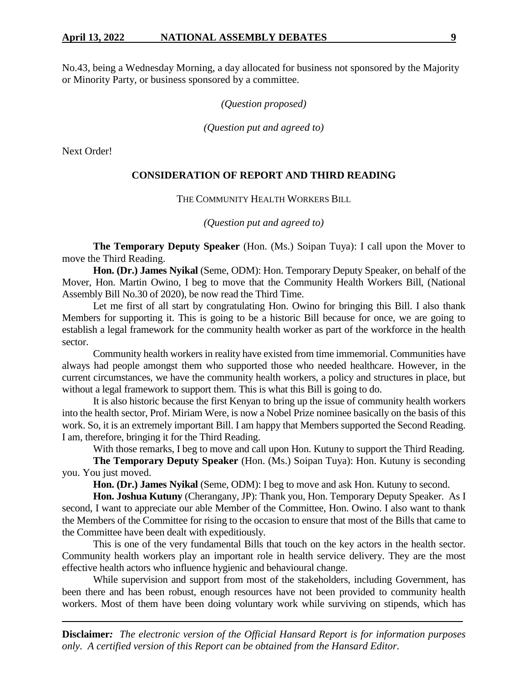No.43, being a Wednesday Morning, a day allocated for business not sponsored by the Majority or Minority Party, or business sponsored by a committee.

*(Question proposed)*

*(Question put and agreed to)*

Next Order!

### **CONSIDERATION OF REPORT AND THIRD READING**

#### THE COMMUNITY HEALTH WORKERS BILL

*(Question put and agreed to)*

**The Temporary Deputy Speaker** (Hon. (Ms.) Soipan Tuya): I call upon the Mover to move the Third Reading.

**Hon. (Dr.) James Nyikal** (Seme, ODM): Hon. Temporary Deputy Speaker, on behalf of the Mover, Hon. Martin Owino, I beg to move that the Community Health Workers Bill, (National Assembly Bill No.30 of 2020), be now read the Third Time.

Let me first of all start by congratulating Hon. Owino for bringing this Bill. I also thank Members for supporting it. This is going to be a historic Bill because for once, we are going to establish a legal framework for the community health worker as part of the workforce in the health sector.

Community health workers in reality have existed from time immemorial. Communities have always had people amongst them who supported those who needed healthcare. However, in the current circumstances, we have the community health workers, a policy and structures in place, but without a legal framework to support them. This is what this Bill is going to do.

It is also historic because the first Kenyan to bring up the issue of community health workers into the health sector, Prof. Miriam Were, is now a Nobel Prize nominee basically on the basis of this work. So, it is an extremely important Bill. I am happy that Members supported the Second Reading. I am, therefore, bringing it for the Third Reading.

With those remarks, I beg to move and call upon Hon. Kutuny to support the Third Reading.

**The Temporary Deputy Speaker** (Hon. (Ms.) Soipan Tuya): Hon. Kutuny is seconding you. You just moved.

**Hon. (Dr.) James Nyikal** (Seme, ODM): I beg to move and ask Hon. Kutuny to second.

**Hon. Joshua Kutuny** (Cherangany, JP): Thank you, Hon. Temporary Deputy Speaker. As I second, I want to appreciate our able Member of the Committee, Hon. Owino. I also want to thank the Members of the Committee for rising to the occasion to ensure that most of the Bills that came to the Committee have been dealt with expeditiously.

This is one of the very fundamental Bills that touch on the key actors in the health sector. Community health workers play an important role in health service delivery. They are the most effective health actors who influence hygienic and behavioural change.

While supervision and support from most of the stakeholders, including Government, has been there and has been robust, enough resources have not been provided to community health workers. Most of them have been doing voluntary work while surviving on stipends, which has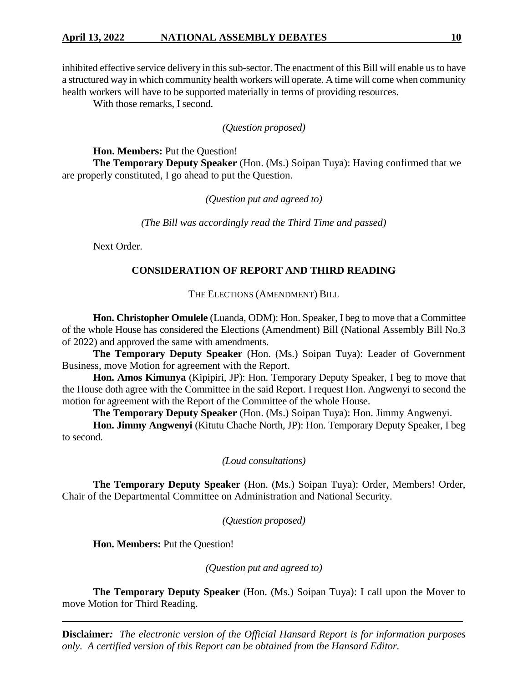inhibited effective service delivery in this sub-sector. The enactment of this Bill will enable us to have a structured way in which community health workers will operate. A time will come when community health workers will have to be supported materially in terms of providing resources.

With those remarks, I second.

# *(Question proposed)*

**Hon. Members:** Put the Question!

**The Temporary Deputy Speaker** (Hon. (Ms.) Soipan Tuya): Having confirmed that we are properly constituted, I go ahead to put the Question.

*(Question put and agreed to)*

*(The Bill was accordingly read the Third Time and passed)*

Next Order.

#### **CONSIDERATION OF REPORT AND THIRD READING**

THE ELECTIONS (AMENDMENT) BILL

**Hon. Christopher Omulele** (Luanda, ODM): Hon. Speaker, I beg to move that a Committee of the whole House has considered the Elections (Amendment) Bill (National Assembly Bill No.3 of 2022) and approved the same with amendments.

**The Temporary Deputy Speaker** (Hon. (Ms.) Soipan Tuya): Leader of Government Business, move Motion for agreement with the Report.

**Hon. Amos Kimunya** (Kipipiri, JP): Hon. Temporary Deputy Speaker, I beg to move that the House doth agree with the Committee in the said Report. I request Hon. Angwenyi to second the motion for agreement with the Report of the Committee of the whole House.

**The Temporary Deputy Speaker** (Hon. (Ms.) Soipan Tuya): Hon. Jimmy Angwenyi.

**Hon. Jimmy Angwenyi** (Kitutu Chache North, JP): Hon. Temporary Deputy Speaker, I beg to second.

*(Loud consultations)*

**The Temporary Deputy Speaker** (Hon. (Ms.) Soipan Tuya): Order, Members! Order, Chair of the Departmental Committee on Administration and National Security.

*(Question proposed)*

**Hon. Members:** Put the Question!

*(Question put and agreed to)*

**The Temporary Deputy Speaker** (Hon. (Ms.) Soipan Tuya): I call upon the Mover to move Motion for Third Reading.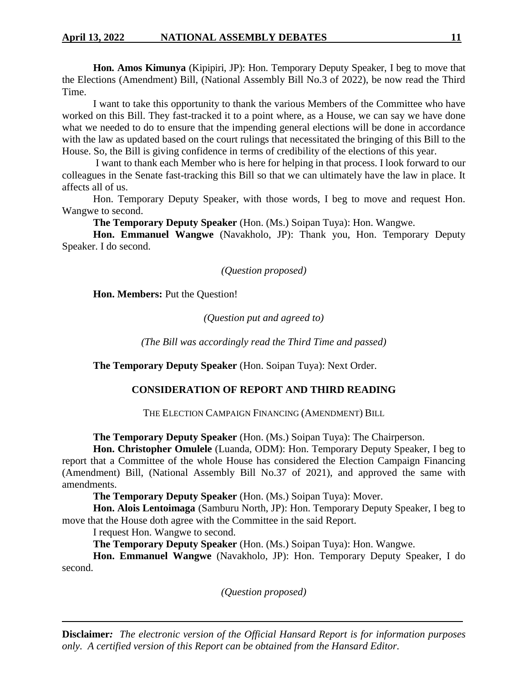**Hon. Amos Kimunya** (Kipipiri, JP): Hon. Temporary Deputy Speaker, I beg to move that the Elections (Amendment) Bill, (National Assembly Bill No.3 of 2022), be now read the Third Time.

I want to take this opportunity to thank the various Members of the Committee who have worked on this Bill. They fast-tracked it to a point where, as a House, we can say we have done what we needed to do to ensure that the impending general elections will be done in accordance with the law as updated based on the court rulings that necessitated the bringing of this Bill to the House. So, the Bill is giving confidence in terms of credibility of the elections of this year.

I want to thank each Member who is here for helping in that process. I look forward to our colleagues in the Senate fast-tracking this Bill so that we can ultimately have the law in place. It affects all of us.

Hon. Temporary Deputy Speaker, with those words, I beg to move and request Hon. Wangwe to second.

**The Temporary Deputy Speaker** (Hon. (Ms.) Soipan Tuya): Hon. Wangwe.

**Hon. Emmanuel Wangwe** (Navakholo, JP): Thank you, Hon. Temporary Deputy Speaker. I do second.

*(Question proposed)* 

**Hon. Members:** Put the Question!

*(Question put and agreed to)*

*(The Bill was accordingly read the Third Time and passed)*

**The Temporary Deputy Speaker** (Hon. Soipan Tuya): Next Order.

# **CONSIDERATION OF REPORT AND THIRD READING**

THE ELECTION CAMPAIGN FINANCING (AMENDMENT) BILL

**The Temporary Deputy Speaker** (Hon. (Ms.) Soipan Tuya): The Chairperson.

**Hon. Christopher Omulele** (Luanda, ODM): Hon. Temporary Deputy Speaker, I beg to report that a Committee of the whole House has considered the Election Campaign Financing (Amendment) Bill, (National Assembly Bill No.37 of 2021), and approved the same with amendments.

**The Temporary Deputy Speaker** (Hon. (Ms.) Soipan Tuya): Mover.

**Hon. Alois Lentoimaga** (Samburu North, JP): Hon. Temporary Deputy Speaker, I beg to move that the House doth agree with the Committee in the said Report.

I request Hon. Wangwe to second.

**The Temporary Deputy Speaker** (Hon. (Ms.) Soipan Tuya): Hon. Wangwe.

**Hon. Emmanuel Wangwe** (Navakholo, JP): Hon. Temporary Deputy Speaker, I do second.

*(Question proposed)*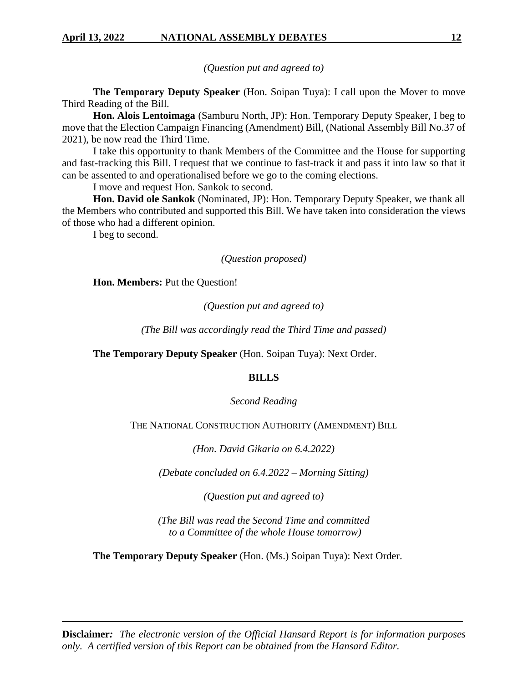*(Question put and agreed to)*

**The Temporary Deputy Speaker** (Hon. Soipan Tuya): I call upon the Mover to move Third Reading of the Bill.

**Hon. Alois Lentoimaga** (Samburu North, JP): Hon. Temporary Deputy Speaker, I beg to move that the Election Campaign Financing (Amendment) Bill, (National Assembly Bill No.37 of 2021), be now read the Third Time.

I take this opportunity to thank Members of the Committee and the House for supporting and fast-tracking this Bill. I request that we continue to fast-track it and pass it into law so that it can be assented to and operationalised before we go to the coming elections.

I move and request Hon. Sankok to second.

**Hon. David ole Sankok** (Nominated, JP): Hon. Temporary Deputy Speaker, we thank all the Members who contributed and supported this Bill. We have taken into consideration the views of those who had a different opinion.

I beg to second.

# *(Question proposed)*

**Hon. Members:** Put the Question!

*(Question put and agreed to)*

*(The Bill was accordingly read the Third Time and passed)*

**The Temporary Deputy Speaker** (Hon. Soipan Tuya): Next Order.

# **BILLS**

*Second Reading*

THE NATIONAL CONSTRUCTION AUTHORITY (AMENDMENT) BILL

*(Hon. David Gikaria on 6.4.2022)*

*(Debate concluded on 6.4.2022 – Morning Sitting)*

*(Question put and agreed to)*

*(The Bill was read the Second Time and committed to a Committee of the whole House tomorrow)*

**The Temporary Deputy Speaker** (Hon. (Ms.) Soipan Tuya): Next Order.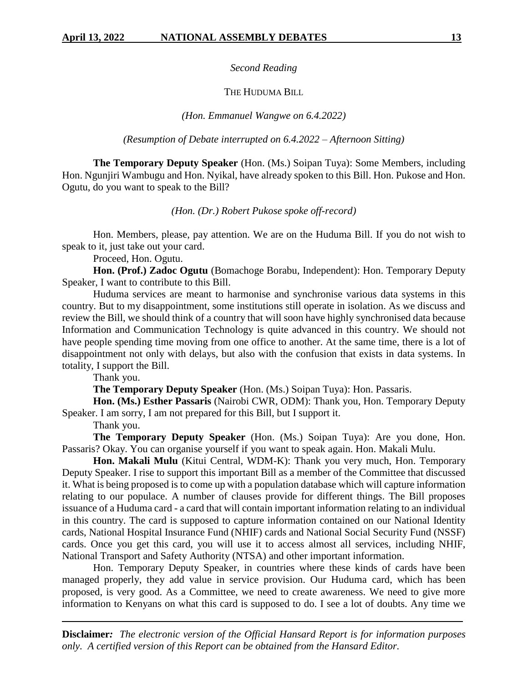*Second Reading*

### THE HUDUMA BILL

### *(Hon. Emmanuel Wangwe on 6.4.2022)*

*(Resumption of Debate interrupted on 6.4.2022 – Afternoon Sitting)*

**The Temporary Deputy Speaker** (Hon. (Ms.) Soipan Tuya): Some Members, including Hon. Ngunjiri Wambugu and Hon. Nyikal, have already spoken to this Bill. Hon. Pukose and Hon. Ogutu, do you want to speak to the Bill?

#### *(Hon. (Dr.) Robert Pukose spoke off-record)*

Hon. Members, please, pay attention. We are on the Huduma Bill. If you do not wish to speak to it, just take out your card.

Proceed, Hon. Ogutu.

**Hon. (Prof.) Zadoc Ogutu** (Bomachoge Borabu, Independent): Hon. Temporary Deputy Speaker, I want to contribute to this Bill.

Huduma services are meant to harmonise and synchronise various data systems in this country. But to my disappointment, some institutions still operate in isolation. As we discuss and review the Bill, we should think of a country that will soon have highly synchronised data because Information and Communication Technology is quite advanced in this country. We should not have people spending time moving from one office to another. At the same time, there is a lot of disappointment not only with delays, but also with the confusion that exists in data systems. In totality, I support the Bill.

Thank you.

**The Temporary Deputy Speaker** (Hon. (Ms.) Soipan Tuya): Hon. Passaris.

**Hon. (Ms.) Esther Passaris** (Nairobi CWR, ODM): Thank you, Hon. Temporary Deputy Speaker. I am sorry, I am not prepared for this Bill, but I support it.

Thank you.

**The Temporary Deputy Speaker** (Hon. (Ms.) Soipan Tuya): Are you done, Hon. Passaris? Okay. You can organise yourself if you want to speak again. Hon. Makali Mulu.

**Hon. Makali Mulu** (Kitui Central, WDM-K): Thank you very much, Hon. Temporary Deputy Speaker. I rise to support this important Bill as a member of the Committee that discussed it. What is being proposed is to come up with a population database which will capture information relating to our populace. A number of clauses provide for different things. The Bill proposes issuance of a Huduma card - a card that will contain important information relating to an individual in this country. The card is supposed to capture information contained on our National Identity cards, National Hospital Insurance Fund (NHIF) cards and National Social Security Fund (NSSF) cards. Once you get this card, you will use it to access almost all services, including NHIF, National Transport and Safety Authority (NTSA) and other important information.

Hon. Temporary Deputy Speaker, in countries where these kinds of cards have been managed properly, they add value in service provision. Our Huduma card, which has been proposed, is very good. As a Committee, we need to create awareness. We need to give more information to Kenyans on what this card is supposed to do. I see a lot of doubts. Any time we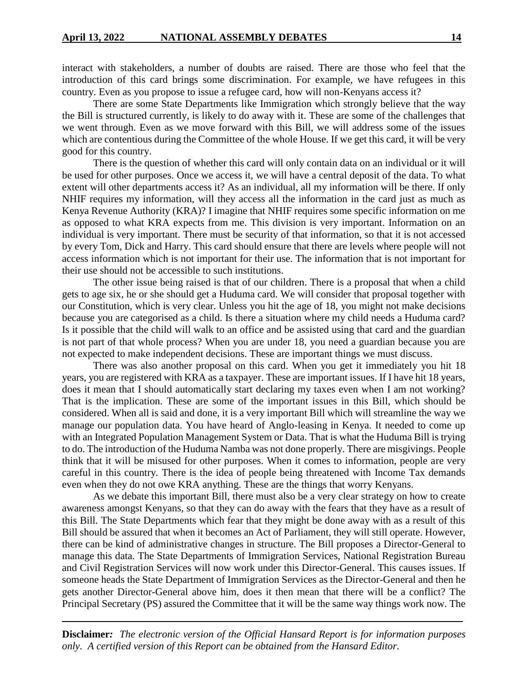interact with stakeholders, a number of doubts are raised. There are those who feel that the introduction of this card brings some discrimination. For example, we have refugees in this country. Even as you propose to issue a refugee card, how will non-Kenyans access it?

There are some State Departments like Immigration which strongly believe that the way the Bill is structured currently, is likely to do away with it. These are some of the challenges that we went through. Even as we move forward with this Bill, we will address some of the issues which are contentious during the Committee of the whole House. If we get this card, it will be very good for this country.

There is the question of whether this card will only contain data on an individual or it will be used for other purposes. Once we access it, we will have a central deposit of the data. To what extent will other departments access it? As an individual, all my information will be there. If only NHIF requires my information, will they access all the information in the card just as much as Kenya Revenue Authority (KRA)? I imagine that NHIF requires some specific information on me as opposed to what KRA expects from me. This division is very important. Information on an individual is very important. There must be security of that information, so that it is not accessed by every Tom, Dick and Harry. This card should ensure that there are levels where people will not access information which is not important for their use. The information that is not important for their use should not be accessible to such institutions.

The other issue being raised is that of our children. There is a proposal that when a child gets to age six, he or she should get a Huduma card. We will consider that proposal together with our Constitution, which is very clear. Unless you hit the age of 18, you might not make decisions because you are categorised as a child. Is there a situation where my child needs a Huduma card? Is it possible that the child will walk to an office and be assisted using that card and the guardian is not part of that whole process? When you are under 18, you need a guardian because you are not expected to make independent decisions. These are important things we must discuss.

There was also another proposal on this card. When you get it immediately you hit 18 years, you are registered with KRA as a taxpayer. These are important issues. If I have hit 18 years, does it mean that I should automatically start declaring my taxes even when I am not working? That is the implication. These are some of the important issues in this Bill, which should be considered. When all is said and done, it is a very important Bill which will streamline the way we manage our population data. You have heard of Anglo-leasing in Kenya. It needed to come up with an Integrated Population Management System or Data. That is what the Huduma Bill is trying to do. The introduction of the Huduma Namba was not done properly. There are misgivings. People think that it will be misused for other purposes. When it comes to information, people are very careful in this country. There is the idea of people being threatened with Income Tax demands even when they do not owe KRA anything. These are the things that worry Kenyans.

As we debate this important Bill, there must also be a very clear strategy on how to create awareness amongst Kenyans, so that they can do away with the fears that they have as a result of this Bill. The State Departments which fear that they might be done away with as a result of this Bill should be assured that when it becomes an Act of Parliament, they will still operate. However, there can be kind of administrative changes in structure. The Bill proposes a Director-General to manage this data. The State Departments of Immigration Services, National Registration Bureau and Civil Registration Services will now work under this Director-General. This causes issues. If someone heads the State Department of Immigration Services as the Director-General and then he gets another Director-General above him, does it then mean that there will be a conflict? The Principal Secretary (PS) assured the Committee that it will be the same way things work now. The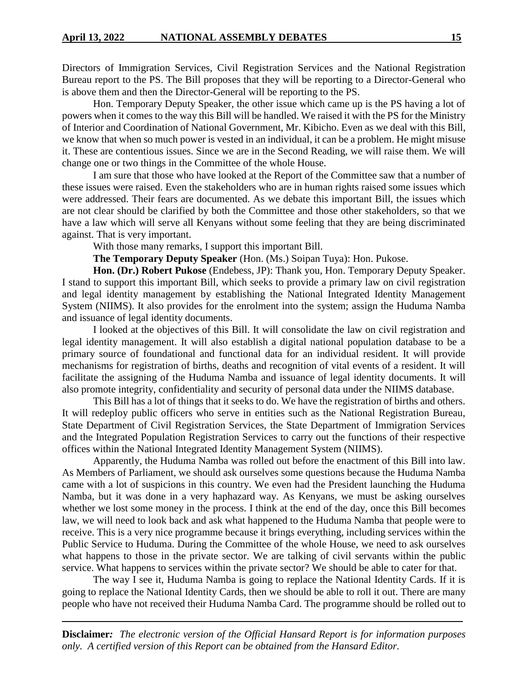Directors of Immigration Services, Civil Registration Services and the National Registration Bureau report to the PS. The Bill proposes that they will be reporting to a Director-General who is above them and then the Director-General will be reporting to the PS.

Hon. Temporary Deputy Speaker, the other issue which came up is the PS having a lot of powers when it comes to the way this Bill will be handled. We raised it with the PS for the Ministry of Interior and Coordination of National Government, Mr. Kibicho. Even as we deal with this Bill, we know that when so much power is vested in an individual, it can be a problem. He might misuse it. These are contentious issues. Since we are in the Second Reading, we will raise them. We will change one or two things in the Committee of the whole House.

I am sure that those who have looked at the Report of the Committee saw that a number of these issues were raised. Even the stakeholders who are in human rights raised some issues which were addressed. Their fears are documented. As we debate this important Bill, the issues which are not clear should be clarified by both the Committee and those other stakeholders, so that we have a law which will serve all Kenyans without some feeling that they are being discriminated against. That is very important.

With those many remarks, I support this important Bill.

**The Temporary Deputy Speaker** (Hon. (Ms.) Soipan Tuya): Hon. Pukose.

**Hon. (Dr.) Robert Pukose** (Endebess, JP): Thank you, Hon. Temporary Deputy Speaker. I stand to support this important Bill, which seeks to provide a primary law on civil registration and legal identity management by establishing the National Integrated Identity Management System (NIIMS). It also provides for the enrolment into the system; assign the Huduma Namba and issuance of legal identity documents.

I looked at the objectives of this Bill. It will consolidate the law on civil registration and legal identity management. It will also establish a digital national population database to be a primary source of foundational and functional data for an individual resident. It will provide mechanisms for registration of births, deaths and recognition of vital events of a resident. It will facilitate the assigning of the Huduma Namba and issuance of legal identity documents. It will also promote integrity, confidentiality and security of personal data under the NIIMS database.

This Bill has a lot of things that it seeks to do. We have the registration of births and others. It will redeploy public officers who serve in entities such as the National Registration Bureau, State Department of Civil Registration Services, the State Department of Immigration Services and the Integrated Population Registration Services to carry out the functions of their respective offices within the National Integrated Identity Management System (NIIMS).

Apparently, the Huduma Namba was rolled out before the enactment of this Bill into law. As Members of Parliament, we should ask ourselves some questions because the Huduma Namba came with a lot of suspicions in this country. We even had the President launching the Huduma Namba, but it was done in a very haphazard way. As Kenyans, we must be asking ourselves whether we lost some money in the process. I think at the end of the day, once this Bill becomes law, we will need to look back and ask what happened to the Huduma Namba that people were to receive. This is a very nice programme because it brings everything, including services within the Public Service to Huduma. During the Committee of the whole House, we need to ask ourselves what happens to those in the private sector. We are talking of civil servants within the public service. What happens to services within the private sector? We should be able to cater for that.

The way I see it, Huduma Namba is going to replace the National Identity Cards. If it is going to replace the National Identity Cards, then we should be able to roll it out. There are many people who have not received their Huduma Namba Card. The programme should be rolled out to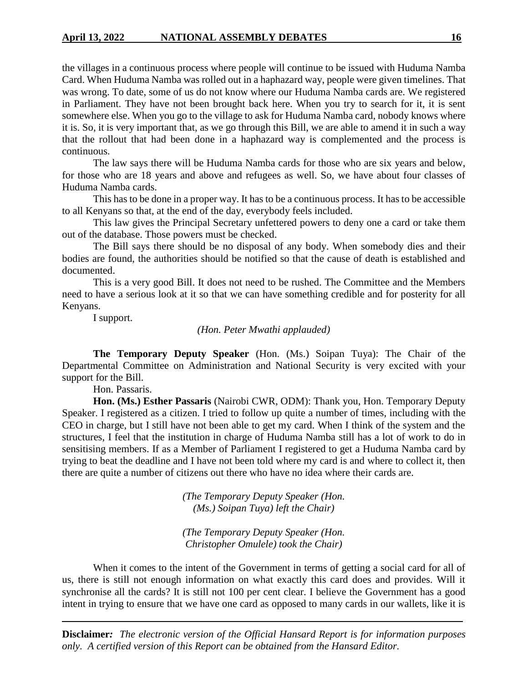the villages in a continuous process where people will continue to be issued with Huduma Namba Card. When Huduma Namba was rolled out in a haphazard way, people were given timelines. That was wrong. To date, some of us do not know where our Huduma Namba cards are. We registered in Parliament. They have not been brought back here. When you try to search for it, it is sent somewhere else. When you go to the village to ask for Huduma Namba card, nobody knows where it is. So, it is very important that, as we go through this Bill, we are able to amend it in such a way that the rollout that had been done in a haphazard way is complemented and the process is continuous.

The law says there will be Huduma Namba cards for those who are six years and below, for those who are 18 years and above and refugees as well. So, we have about four classes of Huduma Namba cards.

This has to be done in a proper way. It has to be a continuous process. It has to be accessible to all Kenyans so that, at the end of the day, everybody feels included.

This law gives the Principal Secretary unfettered powers to deny one a card or take them out of the database. Those powers must be checked.

The Bill says there should be no disposal of any body. When somebody dies and their bodies are found, the authorities should be notified so that the cause of death is established and documented.

This is a very good Bill. It does not need to be rushed. The Committee and the Members need to have a serious look at it so that we can have something credible and for posterity for all Kenyans.

I support.

# *(Hon. Peter Mwathi applauded)*

**The Temporary Deputy Speaker** (Hon. (Ms.) Soipan Tuya): The Chair of the Departmental Committee on Administration and National Security is very excited with your support for the Bill.

Hon. Passaris.

**Hon. (Ms.) Esther Passaris** (Nairobi CWR, ODM): Thank you, Hon. Temporary Deputy Speaker. I registered as a citizen. I tried to follow up quite a number of times, including with the CEO in charge, but I still have not been able to get my card. When I think of the system and the structures, I feel that the institution in charge of Huduma Namba still has a lot of work to do in sensitising members. If as a Member of Parliament I registered to get a Huduma Namba card by trying to beat the deadline and I have not been told where my card is and where to collect it, then there are quite a number of citizens out there who have no idea where their cards are.

> *(The Temporary Deputy Speaker (Hon. (Ms.) Soipan Tuya) left the Chair)*

> *(The Temporary Deputy Speaker (Hon. Christopher Omulele) took the Chair)*

When it comes to the intent of the Government in terms of getting a social card for all of us, there is still not enough information on what exactly this card does and provides. Will it synchronise all the cards? It is still not 100 per cent clear. I believe the Government has a good intent in trying to ensure that we have one card as opposed to many cards in our wallets, like it is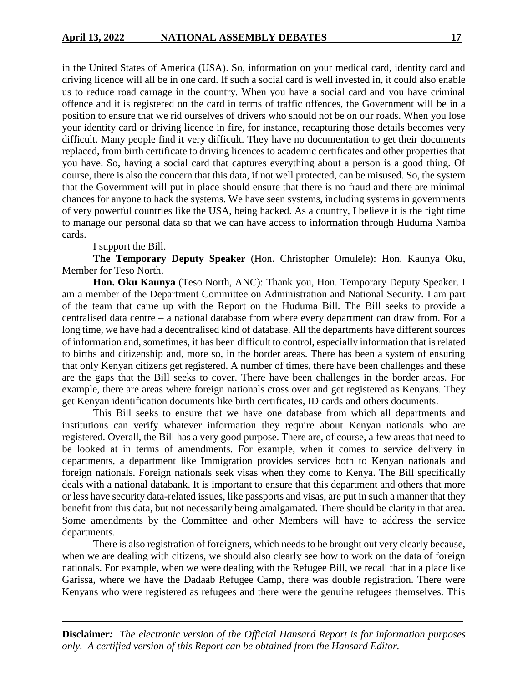in the United States of America (USA). So, information on your medical card, identity card and driving licence will all be in one card. If such a social card is well invested in, it could also enable us to reduce road carnage in the country. When you have a social card and you have criminal offence and it is registered on the card in terms of traffic offences, the Government will be in a position to ensure that we rid ourselves of drivers who should not be on our roads. When you lose your identity card or driving licence in fire, for instance, recapturing those details becomes very difficult. Many people find it very difficult. They have no documentation to get their documents replaced, from birth certificate to driving licences to academic certificates and other properties that you have. So, having a social card that captures everything about a person is a good thing. Of course, there is also the concern that this data, if not well protected, can be misused. So, the system that the Government will put in place should ensure that there is no fraud and there are minimal chances for anyone to hack the systems. We have seen systems, including systems in governments of very powerful countries like the USA, being hacked. As a country, I believe it is the right time to manage our personal data so that we can have access to information through Huduma Namba cards.

I support the Bill.

**The Temporary Deputy Speaker** (Hon. Christopher Omulele): Hon. Kaunya Oku, Member for Teso North.

**Hon. Oku Kaunya** (Teso North, ANC): Thank you, Hon. Temporary Deputy Speaker. I am a member of the Department Committee on Administration and National Security. I am part of the team that came up with the Report on the Huduma Bill. The Bill seeks to provide a centralised data centre – a national database from where every department can draw from. For a long time, we have had a decentralised kind of database. All the departments have different sources of information and, sometimes, it has been difficult to control, especially information that is related to births and citizenship and, more so, in the border areas. There has been a system of ensuring that only Kenyan citizens get registered. A number of times, there have been challenges and these are the gaps that the Bill seeks to cover. There have been challenges in the border areas. For example, there are areas where foreign nationals cross over and get registered as Kenyans. They get Kenyan identification documents like birth certificates, ID cards and others documents.

This Bill seeks to ensure that we have one database from which all departments and institutions can verify whatever information they require about Kenyan nationals who are registered. Overall, the Bill has a very good purpose. There are, of course, a few areas that need to be looked at in terms of amendments. For example, when it comes to service delivery in departments, a department like Immigration provides services both to Kenyan nationals and foreign nationals. Foreign nationals seek visas when they come to Kenya. The Bill specifically deals with a national databank. It is important to ensure that this department and others that more or less have security data-related issues, like passports and visas, are put in such a manner that they benefit from this data, but not necessarily being amalgamated. There should be clarity in that area. Some amendments by the Committee and other Members will have to address the service departments.

There is also registration of foreigners, which needs to be brought out very clearly because, when we are dealing with citizens, we should also clearly see how to work on the data of foreign nationals. For example, when we were dealing with the Refugee Bill, we recall that in a place like Garissa, where we have the Dadaab Refugee Camp, there was double registration. There were Kenyans who were registered as refugees and there were the genuine refugees themselves. This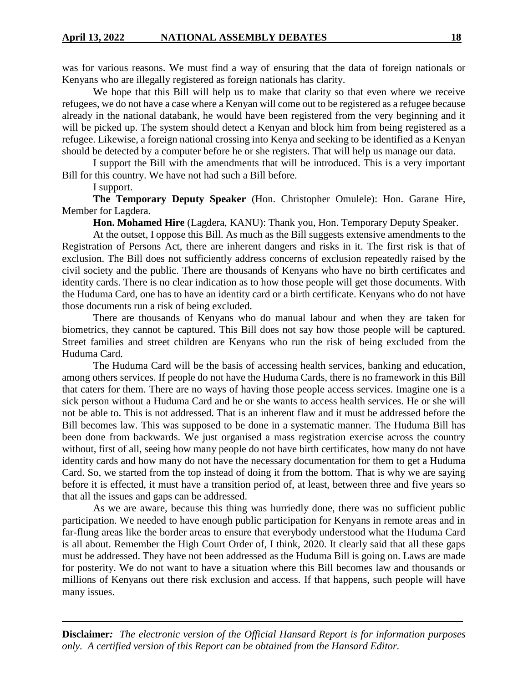was for various reasons. We must find a way of ensuring that the data of foreign nationals or Kenyans who are illegally registered as foreign nationals has clarity.

We hope that this Bill will help us to make that clarity so that even where we receive refugees, we do not have a case where a Kenyan will come out to be registered as a refugee because already in the national databank, he would have been registered from the very beginning and it will be picked up. The system should detect a Kenyan and block him from being registered as a refugee. Likewise, a foreign national crossing into Kenya and seeking to be identified as a Kenyan should be detected by a computer before he or she registers. That will help us manage our data.

I support the Bill with the amendments that will be introduced. This is a very important Bill for this country. We have not had such a Bill before.

I support.

**The Temporary Deputy Speaker** (Hon. Christopher Omulele): Hon. Garane Hire, Member for Lagdera.

**Hon. Mohamed Hire** (Lagdera, KANU): Thank you, Hon. Temporary Deputy Speaker.

At the outset, I oppose this Bill. As much as the Bill suggests extensive amendments to the Registration of Persons Act, there are inherent dangers and risks in it. The first risk is that of exclusion. The Bill does not sufficiently address concerns of exclusion repeatedly raised by the civil society and the public. There are thousands of Kenyans who have no birth certificates and identity cards. There is no clear indication as to how those people will get those documents. With the Huduma Card, one has to have an identity card or a birth certificate. Kenyans who do not have those documents run a risk of being excluded.

There are thousands of Kenyans who do manual labour and when they are taken for biometrics, they cannot be captured. This Bill does not say how those people will be captured. Street families and street children are Kenyans who run the risk of being excluded from the Huduma Card.

The Huduma Card will be the basis of accessing health services, banking and education, among others services. If people do not have the Huduma Cards, there is no framework in this Bill that caters for them. There are no ways of having those people access services. Imagine one is a sick person without a Huduma Card and he or she wants to access health services. He or she will not be able to. This is not addressed. That is an inherent flaw and it must be addressed before the Bill becomes law. This was supposed to be done in a systematic manner. The Huduma Bill has been done from backwards. We just organised a mass registration exercise across the country without, first of all, seeing how many people do not have birth certificates, how many do not have identity cards and how many do not have the necessary documentation for them to get a Huduma Card. So, we started from the top instead of doing it from the bottom. That is why we are saying before it is effected, it must have a transition period of, at least, between three and five years so that all the issues and gaps can be addressed.

As we are aware, because this thing was hurriedly done, there was no sufficient public participation. We needed to have enough public participation for Kenyans in remote areas and in far-flung areas like the border areas to ensure that everybody understood what the Huduma Card is all about. Remember the High Court Order of, I think, 2020. It clearly said that all these gaps must be addressed. They have not been addressed as the Huduma Bill is going on. Laws are made for posterity. We do not want to have a situation where this Bill becomes law and thousands or millions of Kenyans out there risk exclusion and access. If that happens, such people will have many issues.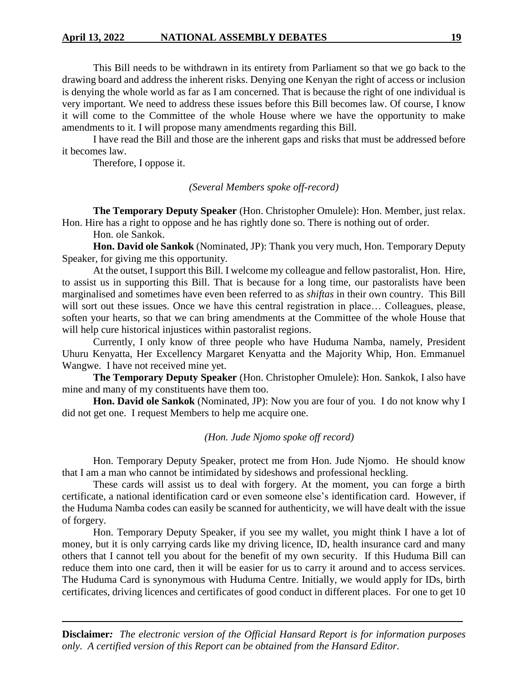This Bill needs to be withdrawn in its entirety from Parliament so that we go back to the drawing board and address the inherent risks. Denying one Kenyan the right of access or inclusion is denying the whole world as far as I am concerned. That is because the right of one individual is very important. We need to address these issues before this Bill becomes law. Of course, I know it will come to the Committee of the whole House where we have the opportunity to make amendments to it. I will propose many amendments regarding this Bill.

I have read the Bill and those are the inherent gaps and risks that must be addressed before it becomes law.

Therefore, I oppose it.

#### *(Several Members spoke off-record)*

**The Temporary Deputy Speaker** (Hon. Christopher Omulele): Hon. Member, just relax. Hon. Hire has a right to oppose and he has rightly done so. There is nothing out of order.

Hon. ole Sankok.

**Hon. David ole Sankok** (Nominated, JP): Thank you very much, Hon. Temporary Deputy Speaker, for giving me this opportunity.

At the outset, I support this Bill. I welcome my colleague and fellow pastoralist, Hon. Hire, to assist us in supporting this Bill. That is because for a long time, our pastoralists have been marginalised and sometimes have even been referred to as *shiftas* in their own country. This Bill will sort out these issues. Once we have this central registration in place... Colleagues, please, soften your hearts, so that we can bring amendments at the Committee of the whole House that will help cure historical injustices within pastoralist regions.

Currently, I only know of three people who have Huduma Namba, namely, President Uhuru Kenyatta, Her Excellency Margaret Kenyatta and the Majority Whip, Hon. Emmanuel Wangwe. I have not received mine yet.

**The Temporary Deputy Speaker** (Hon. Christopher Omulele): Hon. Sankok, I also have mine and many of my constituents have them too.

**Hon. David ole Sankok** (Nominated, JP): Now you are four of you. I do not know why I did not get one. I request Members to help me acquire one.

#### *(Hon. Jude Njomo spoke off record)*

Hon. Temporary Deputy Speaker, protect me from Hon. Jude Njomo. He should know that I am a man who cannot be intimidated by sideshows and professional heckling.

These cards will assist us to deal with forgery. At the moment, you can forge a birth certificate, a national identification card or even someone else's identification card. However, if the Huduma Namba codes can easily be scanned for authenticity, we will have dealt with the issue of forgery.

Hon. Temporary Deputy Speaker, if you see my wallet, you might think I have a lot of money, but it is only carrying cards like my driving licence, ID, health insurance card and many others that I cannot tell you about for the benefit of my own security. If this Huduma Bill can reduce them into one card, then it will be easier for us to carry it around and to access services. The Huduma Card is synonymous with Huduma Centre. Initially, we would apply for IDs, birth certificates, driving licences and certificates of good conduct in different places. For one to get 10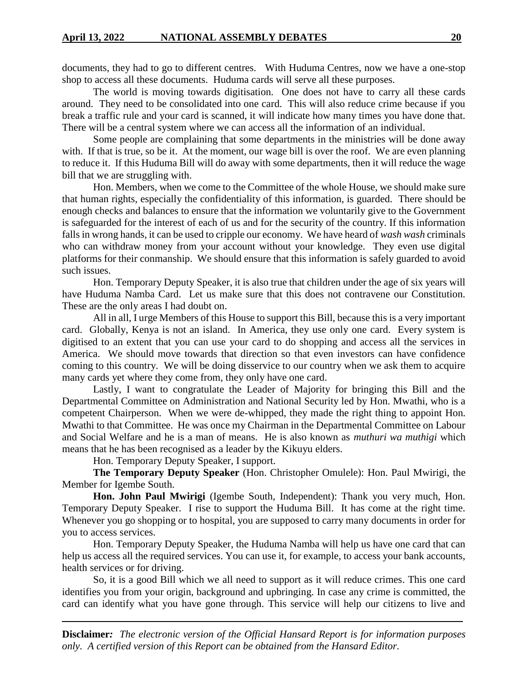documents, they had to go to different centres. With Huduma Centres, now we have a one-stop shop to access all these documents. Huduma cards will serve all these purposes.

The world is moving towards digitisation. One does not have to carry all these cards around. They need to be consolidated into one card. This will also reduce crime because if you break a traffic rule and your card is scanned, it will indicate how many times you have done that. There will be a central system where we can access all the information of an individual.

Some people are complaining that some departments in the ministries will be done away with. If that is true, so be it. At the moment, our wage bill is over the roof. We are even planning to reduce it. If this Huduma Bill will do away with some departments, then it will reduce the wage bill that we are struggling with.

Hon. Members, when we come to the Committee of the whole House, we should make sure that human rights, especially the confidentiality of this information, is guarded. There should be enough checks and balances to ensure that the information we voluntarily give to the Government is safeguarded for the interest of each of us and for the security of the country. If this information falls in wrong hands, it can be used to cripple our economy. We have heard of *wash wash* criminals who can withdraw money from your account without your knowledge. They even use digital platforms for their conmanship. We should ensure that this information is safely guarded to avoid such issues.

Hon. Temporary Deputy Speaker, it is also true that children under the age of six years will have Huduma Namba Card. Let us make sure that this does not contravene our Constitution. These are the only areas I had doubt on.

All in all, I urge Members of this House to support this Bill, because this is a very important card. Globally, Kenya is not an island. In America, they use only one card. Every system is digitised to an extent that you can use your card to do shopping and access all the services in America. We should move towards that direction so that even investors can have confidence coming to this country. We will be doing disservice to our country when we ask them to acquire many cards yet where they come from, they only have one card.

Lastly, I want to congratulate the Leader of Majority for bringing this Bill and the Departmental Committee on Administration and National Security led by Hon. Mwathi, who is a competent Chairperson. When we were de-whipped, they made the right thing to appoint Hon. Mwathi to that Committee. He was once my Chairman in the Departmental Committee on Labour and Social Welfare and he is a man of means. He is also known as *muthuri wa muthigi* which means that he has been recognised as a leader by the Kikuyu elders.

Hon. Temporary Deputy Speaker, I support.

**The Temporary Deputy Speaker** (Hon. Christopher Omulele): Hon. Paul Mwirigi, the Member for Igembe South.

**Hon. John Paul Mwirigi** (Igembe South, Independent): Thank you very much, Hon. Temporary Deputy Speaker. I rise to support the Huduma Bill. It has come at the right time. Whenever you go shopping or to hospital, you are supposed to carry many documents in order for you to access services.

Hon. Temporary Deputy Speaker, the Huduma Namba will help us have one card that can help us access all the required services. You can use it, for example, to access your bank accounts, health services or for driving.

So, it is a good Bill which we all need to support as it will reduce crimes. This one card identifies you from your origin, background and upbringing. In case any crime is committed, the card can identify what you have gone through. This service will help our citizens to live and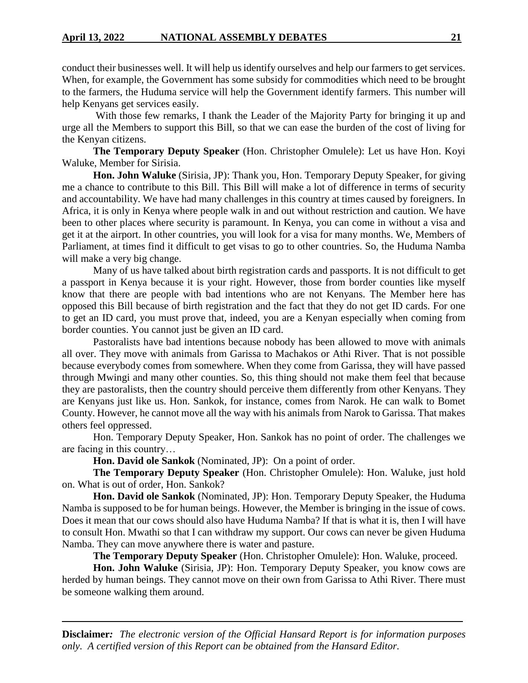conduct their businesses well. It will help us identify ourselves and help our farmers to get services. When, for example, the Government has some subsidy for commodities which need to be brought to the farmers, the Huduma service will help the Government identify farmers. This number will help Kenyans get services easily.

With those few remarks, I thank the Leader of the Majority Party for bringing it up and urge all the Members to support this Bill, so that we can ease the burden of the cost of living for the Kenyan citizens.

**The Temporary Deputy Speaker** (Hon. Christopher Omulele): Let us have Hon. Koyi Waluke, Member for Sirisia.

**Hon. John Waluke** (Sirisia, JP): Thank you, Hon. Temporary Deputy Speaker, for giving me a chance to contribute to this Bill. This Bill will make a lot of difference in terms of security and accountability. We have had many challenges in this country at times caused by foreigners. In Africa, it is only in Kenya where people walk in and out without restriction and caution. We have been to other places where security is paramount. In Kenya, you can come in without a visa and get it at the airport. In other countries, you will look for a visa for many months. We, Members of Parliament, at times find it difficult to get visas to go to other countries. So, the Huduma Namba will make a very big change.

Many of us have talked about birth registration cards and passports. It is not difficult to get a passport in Kenya because it is your right. However, those from border counties like myself know that there are people with bad intentions who are not Kenyans. The Member here has opposed this Bill because of birth registration and the fact that they do not get ID cards. For one to get an ID card, you must prove that, indeed, you are a Kenyan especially when coming from border counties. You cannot just be given an ID card.

Pastoralists have bad intentions because nobody has been allowed to move with animals all over. They move with animals from Garissa to Machakos or Athi River. That is not possible because everybody comes from somewhere. When they come from Garissa, they will have passed through Mwingi and many other counties. So, this thing should not make them feel that because they are pastoralists, then the country should perceive them differently from other Kenyans. They are Kenyans just like us. Hon. Sankok, for instance, comes from Narok. He can walk to Bomet County. However, he cannot move all the way with his animals from Narok to Garissa. That makes others feel oppressed.

Hon. Temporary Deputy Speaker, Hon. Sankok has no point of order. The challenges we are facing in this country…

**Hon. David ole Sankok** (Nominated, JP): On a point of order.

**The Temporary Deputy Speaker** (Hon. Christopher Omulele): Hon. Waluke, just hold on. What is out of order, Hon. Sankok?

**Hon. David ole Sankok** (Nominated, JP): Hon. Temporary Deputy Speaker, the Huduma Namba is supposed to be for human beings. However, the Member is bringing in the issue of cows. Does it mean that our cows should also have Huduma Namba? If that is what it is, then I will have to consult Hon. Mwathi so that I can withdraw my support. Our cows can never be given Huduma Namba. They can move anywhere there is water and pasture.

**The Temporary Deputy Speaker** (Hon. Christopher Omulele): Hon. Waluke, proceed.

**Hon. John Waluke** (Sirisia, JP): Hon. Temporary Deputy Speaker, you know cows are herded by human beings. They cannot move on their own from Garissa to Athi River. There must be someone walking them around.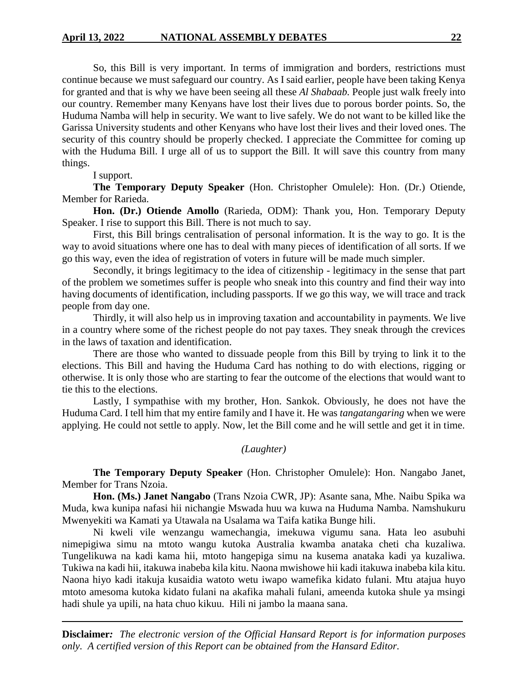So, this Bill is very important. In terms of immigration and borders, restrictions must continue because we must safeguard our country. As I said earlier, people have been taking Kenya for granted and that is why we have been seeing all these *Al Shabaab.* People just walk freely into our country. Remember many Kenyans have lost their lives due to porous border points. So, the Huduma Namba will help in security. We want to live safely. We do not want to be killed like the Garissa University students and other Kenyans who have lost their lives and their loved ones. The security of this country should be properly checked. I appreciate the Committee for coming up with the Huduma Bill. I urge all of us to support the Bill. It will save this country from many things.

I support.

**The Temporary Deputy Speaker** (Hon. Christopher Omulele): Hon. (Dr.) Otiende, Member for Rarieda.

**Hon. (Dr.) Otiende Amollo** (Rarieda, ODM): Thank you, Hon. Temporary Deputy Speaker. I rise to support this Bill. There is not much to say.

First, this Bill brings centralisation of personal information. It is the way to go. It is the way to avoid situations where one has to deal with many pieces of identification of all sorts. If we go this way, even the idea of registration of voters in future will be made much simpler.

Secondly, it brings legitimacy to the idea of citizenship - legitimacy in the sense that part of the problem we sometimes suffer is people who sneak into this country and find their way into having documents of identification, including passports. If we go this way, we will trace and track people from day one.

Thirdly, it will also help us in improving taxation and accountability in payments. We live in a country where some of the richest people do not pay taxes. They sneak through the crevices in the laws of taxation and identification.

There are those who wanted to dissuade people from this Bill by trying to link it to the elections. This Bill and having the Huduma Card has nothing to do with elections, rigging or otherwise. It is only those who are starting to fear the outcome of the elections that would want to tie this to the elections.

Lastly, I sympathise with my brother, Hon. Sankok. Obviously, he does not have the Huduma Card. I tell him that my entire family and I have it. He was *tangatangaring* when we were applying. He could not settle to apply. Now, let the Bill come and he will settle and get it in time.

*(Laughter)*

**The Temporary Deputy Speaker** (Hon. Christopher Omulele): Hon. Nangabo Janet, Member for Trans Nzoia.

**Hon. (Ms.) Janet Nangabo** (Trans Nzoia CWR, JP): Asante sana, Mhe. Naibu Spika wa Muda, kwa kunipa nafasi hii nichangie Mswada huu wa kuwa na Huduma Namba. Namshukuru Mwenyekiti wa Kamati ya Utawala na Usalama wa Taifa katika Bunge hili.

Ni kweli vile wenzangu wamechangia, imekuwa vigumu sana. Hata leo asubuhi nimepigiwa simu na mtoto wangu kutoka Australia kwamba anataka cheti cha kuzaliwa. Tungelikuwa na kadi kama hii, mtoto hangepiga simu na kusema anataka kadi ya kuzaliwa. Tukiwa na kadi hii, itakuwa inabeba kila kitu. Naona mwishowe hii kadi itakuwa inabeba kila kitu. Naona hiyo kadi itakuja kusaidia watoto wetu iwapo wamefika kidato fulani. Mtu atajua huyo mtoto amesoma kutoka kidato fulani na akafika mahali fulani, ameenda kutoka shule ya msingi hadi shule ya upili, na hata chuo kikuu. Hili ni jambo la maana sana.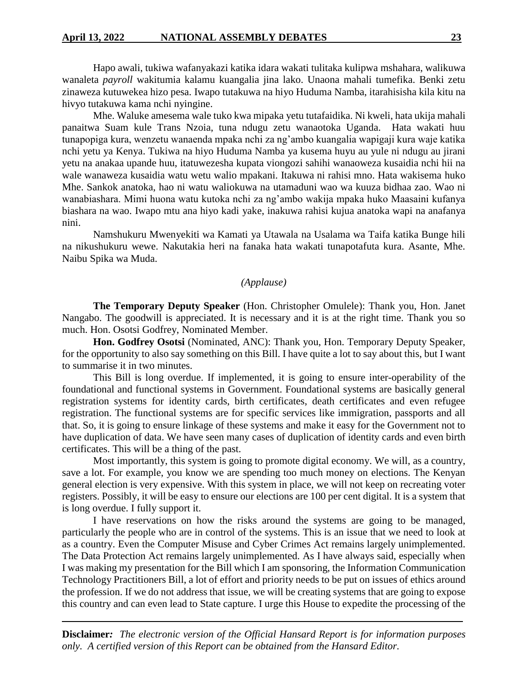Hapo awali, tukiwa wafanyakazi katika idara wakati tulitaka kulipwa mshahara, walikuwa wanaleta *payroll* wakitumia kalamu kuangalia jina lako. Unaona mahali tumefika. Benki zetu zinaweza kutuwekea hizo pesa. Iwapo tutakuwa na hiyo Huduma Namba, itarahisisha kila kitu na hivyo tutakuwa kama nchi nyingine.

Mhe. Waluke amesema wale tuko kwa mipaka yetu tutafaidika. Ni kweli, hata ukija mahali panaitwa Suam kule Trans Nzoia, tuna ndugu zetu wanaotoka Uganda. Hata wakati huu tunapopiga kura, wenzetu wanaenda mpaka nchi za ng'ambo kuangalia wapigaji kura waje katika nchi yetu ya Kenya. Tukiwa na hiyo Huduma Namba ya kusema huyu au yule ni ndugu au jirani yetu na anakaa upande huu, itatuwezesha kupata viongozi sahihi wanaoweza kusaidia nchi hii na wale wanaweza kusaidia watu wetu walio mpakani. Itakuwa ni rahisi mno. Hata wakisema huko Mhe. Sankok anatoka, hao ni watu waliokuwa na utamaduni wao wa kuuza bidhaa zao. Wao ni wanabiashara. Mimi huona watu kutoka nchi za ng'ambo wakija mpaka huko Maasaini kufanya biashara na wao. Iwapo mtu ana hiyo kadi yake, inakuwa rahisi kujua anatoka wapi na anafanya nini.

Namshukuru Mwenyekiti wa Kamati ya Utawala na Usalama wa Taifa katika Bunge hili na nikushukuru wewe. Nakutakia heri na fanaka hata wakati tunapotafuta kura. Asante, Mhe. Naibu Spika wa Muda.

### *(Applause)*

**The Temporary Deputy Speaker** (Hon. Christopher Omulele): Thank you, Hon. Janet Nangabo. The goodwill is appreciated. It is necessary and it is at the right time. Thank you so much. Hon. Osotsi Godfrey, Nominated Member.

**Hon. Godfrey Osotsi** (Nominated, ANC): Thank you, Hon. Temporary Deputy Speaker, for the opportunity to also say something on this Bill. I have quite a lot to say about this, but I want to summarise it in two minutes.

This Bill is long overdue. If implemented, it is going to ensure inter-operability of the foundational and functional systems in Government. Foundational systems are basically general registration systems for identity cards, birth certificates, death certificates and even refugee registration. The functional systems are for specific services like immigration, passports and all that. So, it is going to ensure linkage of these systems and make it easy for the Government not to have duplication of data. We have seen many cases of duplication of identity cards and even birth certificates. This will be a thing of the past.

Most importantly, this system is going to promote digital economy. We will, as a country, save a lot. For example, you know we are spending too much money on elections. The Kenyan general election is very expensive. With this system in place, we will not keep on recreating voter registers. Possibly, it will be easy to ensure our elections are 100 per cent digital. It is a system that is long overdue. I fully support it.

I have reservations on how the risks around the systems are going to be managed, particularly the people who are in control of the systems. This is an issue that we need to look at as a country. Even the Computer Misuse and Cyber Crimes Act remains largely unimplemented. The Data Protection Act remains largely unimplemented. As I have always said, especially when I was making my presentation for the Bill which I am sponsoring, the Information Communication Technology Practitioners Bill, a lot of effort and priority needs to be put on issues of ethics around the profession. If we do not address that issue, we will be creating systems that are going to expose this country and can even lead to State capture. I urge this House to expedite the processing of the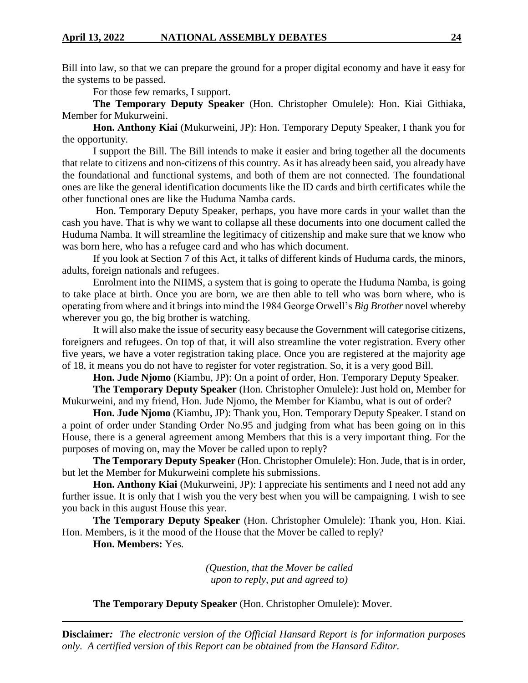Bill into law, so that we can prepare the ground for a proper digital economy and have it easy for the systems to be passed.

For those few remarks, I support.

**The Temporary Deputy Speaker** (Hon. Christopher Omulele): Hon. Kiai Githiaka, Member for Mukurweini.

**Hon. Anthony Kiai** (Mukurweini, JP): Hon. Temporary Deputy Speaker, I thank you for the opportunity.

I support the Bill. The Bill intends to make it easier and bring together all the documents that relate to citizens and non-citizens of this country. As it has already been said, you already have the foundational and functional systems, and both of them are not connected. The foundational ones are like the general identification documents like the ID cards and birth certificates while the other functional ones are like the Huduma Namba cards.

Hon. Temporary Deputy Speaker, perhaps, you have more cards in your wallet than the cash you have. That is why we want to collapse all these documents into one document called the Huduma Namba. It will streamline the legitimacy of citizenship and make sure that we know who was born here, who has a refugee card and who has which document.

If you look at Section 7 of this Act, it talks of different kinds of Huduma cards, the minors, adults, foreign nationals and refugees.

Enrolment into the NIIMS, a system that is going to operate the Huduma Namba*,* is going to take place at birth. Once you are born, we are then able to tell who was born where, who is operating from where and it brings into mind the 1984 George Orwell's *Big Brother* novel whereby wherever you go, the big brother is watching.

It will also make the issue of security easy because the Government will categorise citizens, foreigners and refugees. On top of that, it will also streamline the voter registration. Every other five years, we have a voter registration taking place. Once you are registered at the majority age of 18, it means you do not have to register for voter registration. So, it is a very good Bill.

**Hon. Jude Njomo** (Kiambu, JP): On a point of order, Hon. Temporary Deputy Speaker.

**The Temporary Deputy Speaker** (Hon. Christopher Omulele): Just hold on, Member for Mukurweini, and my friend, Hon. Jude Njomo, the Member for Kiambu, what is out of order?

**Hon. Jude Njomo** (Kiambu, JP): Thank you, Hon. Temporary Deputy Speaker. I stand on a point of order under Standing Order No.95 and judging from what has been going on in this House, there is a general agreement among Members that this is a very important thing. For the purposes of moving on, may the Mover be called upon to reply?

**The Temporary Deputy Speaker** (Hon. Christopher Omulele): Hon. Jude, that is in order, but let the Member for Mukurweini complete his submissions.

**Hon. Anthony Kiai** (Mukurweini, JP): I appreciate his sentiments and I need not add any further issue. It is only that I wish you the very best when you will be campaigning. I wish to see you back in this august House this year.

**The Temporary Deputy Speaker** (Hon. Christopher Omulele): Thank you, Hon. Kiai. Hon. Members, is it the mood of the House that the Mover be called to reply?

**Hon. Members:** Yes.

*(Question, that the Mover be called upon to reply, put and agreed to)*

**The Temporary Deputy Speaker** (Hon. Christopher Omulele): Mover.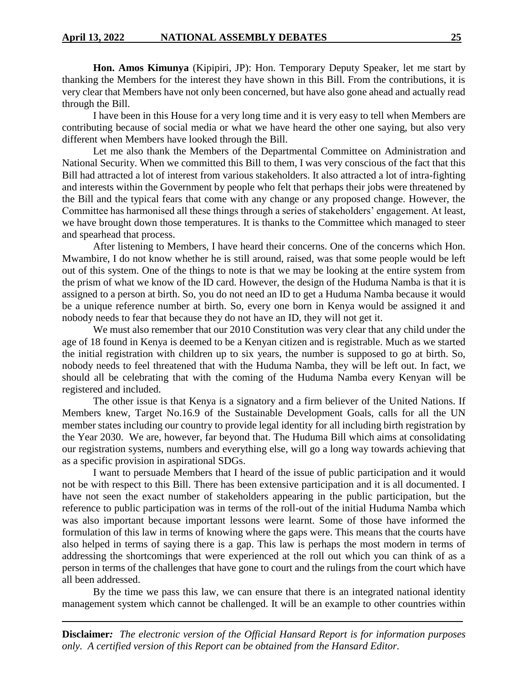**Hon. Amos Kimunya** (Kipipiri, JP): Hon. Temporary Deputy Speaker, let me start by thanking the Members for the interest they have shown in this Bill. From the contributions, it is very clear that Members have not only been concerned, but have also gone ahead and actually read through the Bill.

I have been in this House for a very long time and it is very easy to tell when Members are contributing because of social media or what we have heard the other one saying, but also very different when Members have looked through the Bill.

Let me also thank the Members of the Departmental Committee on Administration and National Security. When we committed this Bill to them, I was very conscious of the fact that this Bill had attracted a lot of interest from various stakeholders. It also attracted a lot of intra-fighting and interests within the Government by people who felt that perhaps their jobs were threatened by the Bill and the typical fears that come with any change or any proposed change. However, the Committee has harmonised all these things through a series of stakeholders' engagement. At least, we have brought down those temperatures. It is thanks to the Committee which managed to steer and spearhead that process.

After listening to Members, I have heard their concerns. One of the concerns which Hon. Mwambire, I do not know whether he is still around, raised, was that some people would be left out of this system. One of the things to note is that we may be looking at the entire system from the prism of what we know of the ID card. However, the design of the Huduma Namba is that it is assigned to a person at birth. So, you do not need an ID to get a Huduma Namba because it would be a unique reference number at birth. So, every one born in Kenya would be assigned it and nobody needs to fear that because they do not have an ID, they will not get it.

We must also remember that our 2010 Constitution was very clear that any child under the age of 18 found in Kenya is deemed to be a Kenyan citizen and is registrable. Much as we started the initial registration with children up to six years, the number is supposed to go at birth. So, nobody needs to feel threatened that with the Huduma Namba, they will be left out. In fact, we should all be celebrating that with the coming of the Huduma Namba every Kenyan will be registered and included.

The other issue is that Kenya is a signatory and a firm believer of the United Nations. If Members knew, Target No.16.9 of the Sustainable Development Goals, calls for all the UN member states including our country to provide legal identity for all including birth registration by the Year 2030. We are, however, far beyond that. The Huduma Bill which aims at consolidating our registration systems, numbers and everything else, will go a long way towards achieving that as a specific provision in aspirational SDGs.

I want to persuade Members that I heard of the issue of public participation and it would not be with respect to this Bill. There has been extensive participation and it is all documented. I have not seen the exact number of stakeholders appearing in the public participation, but the reference to public participation was in terms of the roll-out of the initial Huduma Namba which was also important because important lessons were learnt. Some of those have informed the formulation of this law in terms of knowing where the gaps were. This means that the courts have also helped in terms of saying there is a gap. This law is perhaps the most modern in terms of addressing the shortcomings that were experienced at the roll out which you can think of as a person in terms of the challenges that have gone to court and the rulings from the court which have all been addressed.

By the time we pass this law, we can ensure that there is an integrated national identity management system which cannot be challenged. It will be an example to other countries within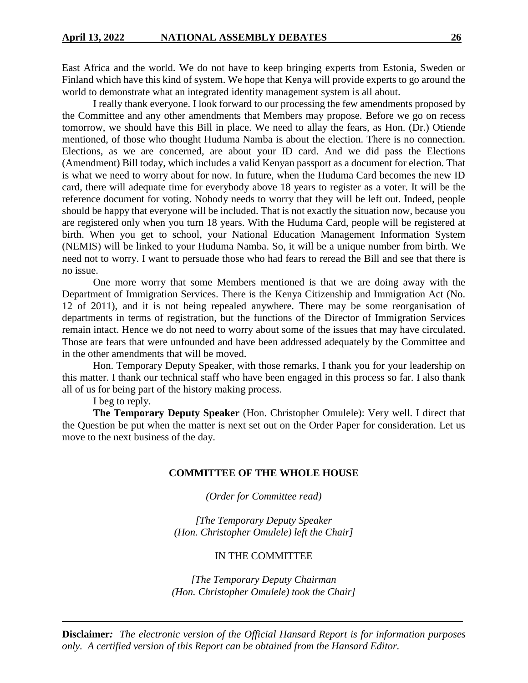East Africa and the world. We do not have to keep bringing experts from Estonia, Sweden or Finland which have this kind of system. We hope that Kenya will provide experts to go around the world to demonstrate what an integrated identity management system is all about.

I really thank everyone. I look forward to our processing the few amendments proposed by the Committee and any other amendments that Members may propose. Before we go on recess tomorrow, we should have this Bill in place. We need to allay the fears, as Hon. (Dr.) Otiende mentioned, of those who thought Huduma Namba is about the election. There is no connection. Elections, as we are concerned, are about your ID card. And we did pass the Elections (Amendment) Bill today, which includes a valid Kenyan passport as a document for election. That is what we need to worry about for now. In future, when the Huduma Card becomes the new ID card, there will adequate time for everybody above 18 years to register as a voter. It will be the reference document for voting. Nobody needs to worry that they will be left out. Indeed, people should be happy that everyone will be included. That is not exactly the situation now, because you are registered only when you turn 18 years. With the Huduma Card, people will be registered at birth. When you get to school, your National Education Management Information System (NEMIS) will be linked to your Huduma Namba. So, it will be a unique number from birth. We need not to worry. I want to persuade those who had fears to reread the Bill and see that there is no issue.

One more worry that some Members mentioned is that we are doing away with the Department of Immigration Services. There is the Kenya Citizenship and Immigration Act (No. 12 of 2011), and it is not being repealed anywhere. There may be some reorganisation of departments in terms of registration, but the functions of the Director of Immigration Services remain intact. Hence we do not need to worry about some of the issues that may have circulated. Those are fears that were unfounded and have been addressed adequately by the Committee and in the other amendments that will be moved.

Hon. Temporary Deputy Speaker, with those remarks, I thank you for your leadership on this matter. I thank our technical staff who have been engaged in this process so far. I also thank all of us for being part of the history making process.

I beg to reply.

**The Temporary Deputy Speaker** (Hon. Christopher Omulele): Very well. I direct that the Question be put when the matter is next set out on the Order Paper for consideration. Let us move to the next business of the day.

#### **COMMITTEE OF THE WHOLE HOUSE**

*(Order for Committee read)*

*[The Temporary Deputy Speaker (Hon. Christopher Omulele) left the Chair]*

#### IN THE COMMITTEE

*[The Temporary Deputy Chairman (Hon. Christopher Omulele) took the Chair]*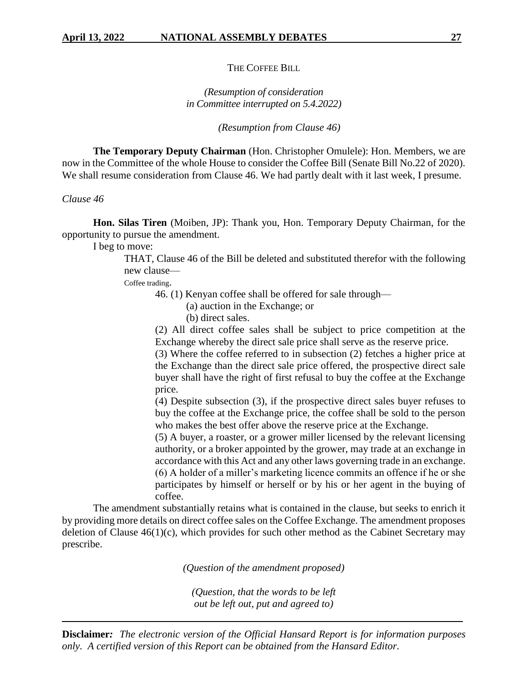THE COFFEE BILL

# *(Resumption of consideration in Committee interrupted on 5.4.2022)*

*(Resumption from Clause 46)*

**The Temporary Deputy Chairman** (Hon. Christopher Omulele): Hon. Members, we are now in the Committee of the whole House to consider the Coffee Bill (Senate Bill No.22 of 2020). We shall resume consideration from Clause 46. We had partly dealt with it last week, I presume.

*Clause 46*

**Hon. Silas Tiren** (Moiben, JP): Thank you, Hon. Temporary Deputy Chairman, for the opportunity to pursue the amendment.

I beg to move:

THAT, Clause 46 of the Bill be deleted and substituted therefor with the following new clause—

Coffee trading.

46. (1) Kenyan coffee shall be offered for sale through—

(a) auction in the Exchange; or

(b) direct sales.

(2) All direct coffee sales shall be subject to price competition at the Exchange whereby the direct sale price shall serve as the reserve price.

(3) Where the coffee referred to in subsection (2) fetches a higher price at the Exchange than the direct sale price offered, the prospective direct sale buyer shall have the right of first refusal to buy the coffee at the Exchange price.

(4) Despite subsection (3), if the prospective direct sales buyer refuses to buy the coffee at the Exchange price, the coffee shall be sold to the person who makes the best offer above the reserve price at the Exchange.

(5) A buyer, a roaster, or a grower miller licensed by the relevant licensing authority, or a broker appointed by the grower, may trade at an exchange in accordance with this Act and any other laws governing trade in an exchange. (6) A holder of a miller's marketing licence commits an offence if he or she participates by himself or herself or by his or her agent in the buying of coffee.

The amendment substantially retains what is contained in the clause, but seeks to enrich it by providing more details on direct coffee sales on the Coffee Exchange. The amendment proposes deletion of Clause  $46(1)(c)$ , which provides for such other method as the Cabinet Secretary may prescribe.

*(Question of the amendment proposed)*

*(Question, that the words to be left out be left out, put and agreed to)*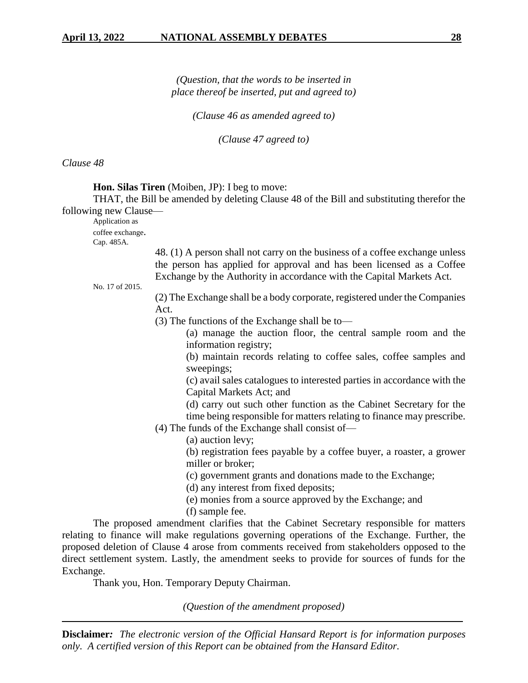*(Question, that the words to be inserted in place thereof be inserted, put and agreed to)*

*(Clause 46 as amended agreed to)*

*(Clause 47 agreed to)*

*Clause 48*

**Hon. Silas Tiren** (Moiben, JP): I beg to move:

THAT, the Bill be amended by deleting Clause 48 of the Bill and substituting therefor the following new Clause—

Application as

coffee exchange.

Cap. 485A.

48. (1) A person shall not carry on the business of a coffee exchange unless the person has applied for approval and has been licensed as a Coffee Exchange by the Authority in accordance with the Capital Markets Act.

No. 17 of 2015.

(2) The Exchange shall be a body corporate, registered under the Companies Act.

(3) The functions of the Exchange shall be to—

(a) manage the auction floor, the central sample room and the information registry;

(b) maintain records relating to coffee sales, coffee samples and sweepings;

(c) avail sales catalogues to interested parties in accordance with the Capital Markets Act; and

(d) carry out such other function as the Cabinet Secretary for the time being responsible for matters relating to finance may prescribe.

- (4) The funds of the Exchange shall consist of—
	- (a) auction levy;

(b) registration fees payable by a coffee buyer, a roaster, a grower miller or broker;

(c) government grants and donations made to the Exchange;

(d) any interest from fixed deposits;

(e) monies from a source approved by the Exchange; and

(f) sample fee.

The proposed amendment clarifies that the Cabinet Secretary responsible for matters relating to finance will make regulations governing operations of the Exchange. Further, the proposed deletion of Clause 4 arose from comments received from stakeholders opposed to the direct settlement system. Lastly, the amendment seeks to provide for sources of funds for the Exchange.

Thank you, Hon. Temporary Deputy Chairman.

*(Question of the amendment proposed)*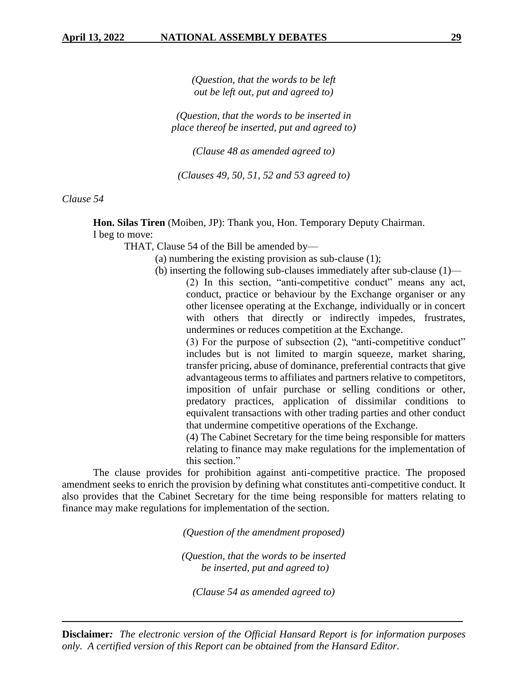*(Question, that the words to be left out be left out, put and agreed to)*

*(Question, that the words to be inserted in place thereof be inserted, put and agreed to)*

*(Clause 48 as amended agreed to)*

*(Clauses 49, 50, 51, 52 and 53 agreed to)*

*Clause 54*

**Hon. Silas Tiren** (Moiben, JP): Thank you, Hon. Temporary Deputy Chairman. I beg to move:

THAT, Clause 54 of the Bill be amended by—

- (a) numbering the existing provision as sub-clause (1);
- (b) inserting the following sub-clauses immediately after sub-clause (1)—

(2) In this section, "anti-competitive conduct" means any act, conduct, practice or behaviour by the Exchange organiser or any other licensee operating at the Exchange, individually or in concert with others that directly or indirectly impedes, frustrates, undermines or reduces competition at the Exchange.

(3) For the purpose of subsection (2), "anti-competitive conduct" includes but is not limited to margin squeeze, market sharing, transfer pricing, abuse of dominance, preferential contracts that give advantageous terms to affiliates and partners relative to competitors, imposition of unfair purchase or selling conditions or other, predatory practices, application of dissimilar conditions to equivalent transactions with other trading parties and other conduct that undermine competitive operations of the Exchange.

(4) The Cabinet Secretary for the time being responsible for matters relating to finance may make regulations for the implementation of this section."

The clause provides for prohibition against anti-competitive practice. The proposed amendment seeks to enrich the provision by defining what constitutes anti-competitive conduct. It also provides that the Cabinet Secretary for the time being responsible for matters relating to finance may make regulations for implementation of the section.

*(Question of the amendment proposed)*

*(Question, that the words to be inserted be inserted, put and agreed to)*

*(Clause 54 as amended agreed to)*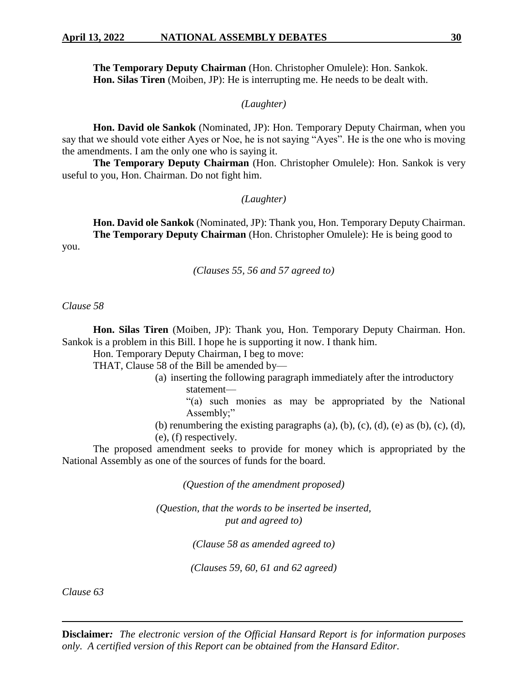**The Temporary Deputy Chairman** (Hon. Christopher Omulele): Hon. Sankok. **Hon. Silas Tiren** (Moiben, JP): He is interrupting me. He needs to be dealt with.

*(Laughter)*

**Hon. David ole Sankok** (Nominated, JP): Hon. Temporary Deputy Chairman, when you say that we should vote either Ayes or Noe, he is not saying "Ayes". He is the one who is moving the amendments. I am the only one who is saying it.

**The Temporary Deputy Chairman** (Hon. Christopher Omulele): Hon. Sankok is very useful to you, Hon. Chairman. Do not fight him.

*(Laughter)*

**Hon. David ole Sankok** (Nominated, JP): Thank you, Hon. Temporary Deputy Chairman. **The Temporary Deputy Chairman** (Hon. Christopher Omulele): He is being good to you.

*(Clauses 55, 56 and 57 agreed to)*

*Clause 58*

**Hon. Silas Tiren** (Moiben, JP): Thank you, Hon. Temporary Deputy Chairman. Hon. Sankok is a problem in this Bill. I hope he is supporting it now. I thank him.

Hon. Temporary Deputy Chairman, I beg to move:

THAT, Clause 58 of the Bill be amended by—

(a) inserting the following paragraph immediately after the introductory statement—

"(a) such monies as may be appropriated by the National Assembly;"

(b) renumbering the existing paragraphs (a), (b), (c), (d), (e) as (b), (c), (d), (e), (f) respectively.

The proposed amendment seeks to provide for money which is appropriated by the National Assembly as one of the sources of funds for the board.

*(Question of the amendment proposed)*

*(Question, that the words to be inserted be inserted, put and agreed to)*

*(Clause 58 as amended agreed to)*

*(Clauses 59, 60, 61 and 62 agreed)*

*Clause 63*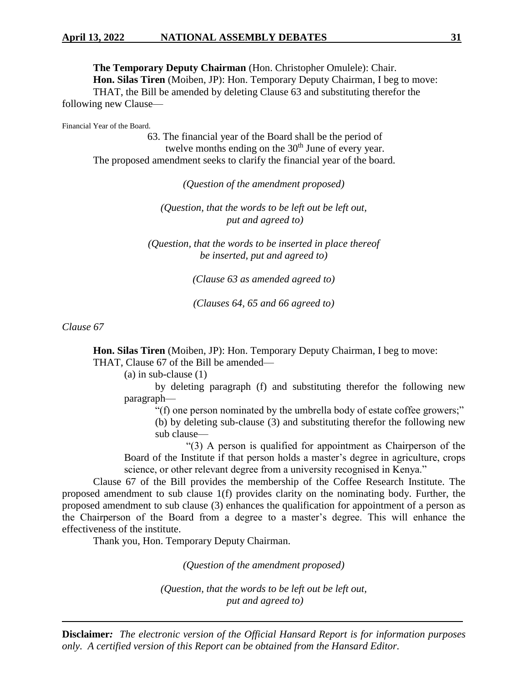# **April 13, 2022 NATIONAL ASSEMBLY DEBATES 31**

**The Temporary Deputy Chairman** (Hon. Christopher Omulele): Chair. **Hon. Silas Tiren** (Moiben, JP): Hon. Temporary Deputy Chairman, I beg to move: THAT, the Bill be amended by deleting Clause 63 and substituting therefor the following new Clause—

Financial Year of the Board.

 63. The financial year of the Board shall be the period of twelve months ending on the  $30<sup>th</sup>$  June of every year. The proposed amendment seeks to clarify the financial year of the board.

*(Question of the amendment proposed)*

*(Question, that the words to be left out be left out, put and agreed to)*

*(Question, that the words to be inserted in place thereof be inserted, put and agreed to)*

*(Clause 63 as amended agreed to)*

*(Clauses 64, 65 and 66 agreed to)*

*Clause 67*

**Hon. Silas Tiren** (Moiben, JP): Hon. Temporary Deputy Chairman, I beg to move: THAT, Clause 67 of the Bill be amended—

(a) in sub-clause (1)

by deleting paragraph (f) and substituting therefor the following new paragraph—

"(f) one person nominated by the umbrella body of estate coffee growers;"

(b) by deleting sub-clause (3) and substituting therefor the following new sub clause—

"(3) A person is qualified for appointment as Chairperson of the Board of the Institute if that person holds a master's degree in agriculture, crops science, or other relevant degree from a university recognised in Kenya."

Clause 67 of the Bill provides the membership of the Coffee Research Institute. The proposed amendment to sub clause 1(f) provides clarity on the nominating body. Further, the proposed amendment to sub clause (3) enhances the qualification for appointment of a person as the Chairperson of the Board from a degree to a master's degree. This will enhance the effectiveness of the institute.

Thank you, Hon. Temporary Deputy Chairman.

*(Question of the amendment proposed)*

*(Question, that the words to be left out be left out, put and agreed to)*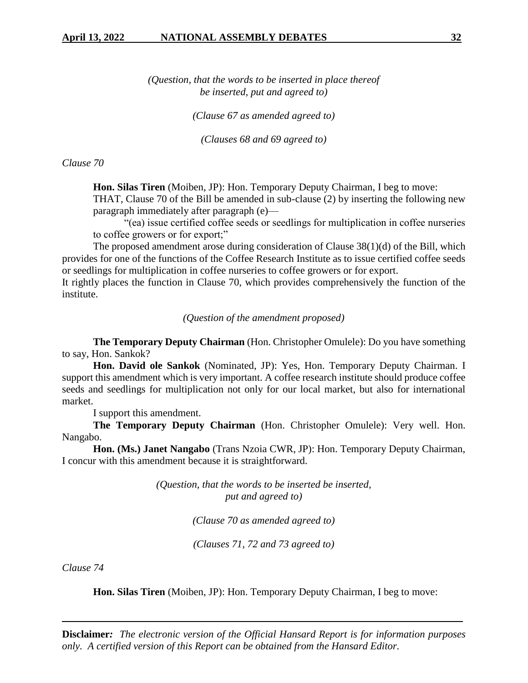*(Question, that the words to be inserted in place thereof be inserted, put and agreed to)*

*(Clause 67 as amended agreed to)*

*(Clauses 68 and 69 agreed to)*

*Clause 70*

**Hon. Silas Tiren** (Moiben, JP): Hon. Temporary Deputy Chairman, I beg to move:

THAT, Clause 70 of the Bill be amended in sub-clause (2) by inserting the following new paragraph immediately after paragraph (e)—

"(ea) issue certified coffee seeds or seedlings for multiplication in coffee nurseries to coffee growers or for export;"

The proposed amendment arose during consideration of Clause 38(1)(d) of the Bill, which provides for one of the functions of the Coffee Research Institute as to issue certified coffee seeds or seedlings for multiplication in coffee nurseries to coffee growers or for export.

It rightly places the function in Clause 70, which provides comprehensively the function of the institute.

*(Question of the amendment proposed)*

**The Temporary Deputy Chairman** (Hon. Christopher Omulele): Do you have something to say, Hon. Sankok?

**Hon. David ole Sankok** (Nominated, JP): Yes, Hon. Temporary Deputy Chairman. I support this amendment which is very important. A coffee research institute should produce coffee seeds and seedlings for multiplication not only for our local market, but also for international market.

I support this amendment.

**The Temporary Deputy Chairman** (Hon. Christopher Omulele): Very well. Hon. Nangabo.

**Hon. (Ms.) Janet Nangabo** (Trans Nzoia CWR, JP): Hon. Temporary Deputy Chairman, I concur with this amendment because it is straightforward.

> *(Question, that the words to be inserted be inserted, put and agreed to)*

> > *(Clause 70 as amended agreed to)*

*(Clauses 71, 72 and 73 agreed to)*

*Clause 74*

**Hon. Silas Tiren** (Moiben, JP): Hon. Temporary Deputy Chairman, I beg to move: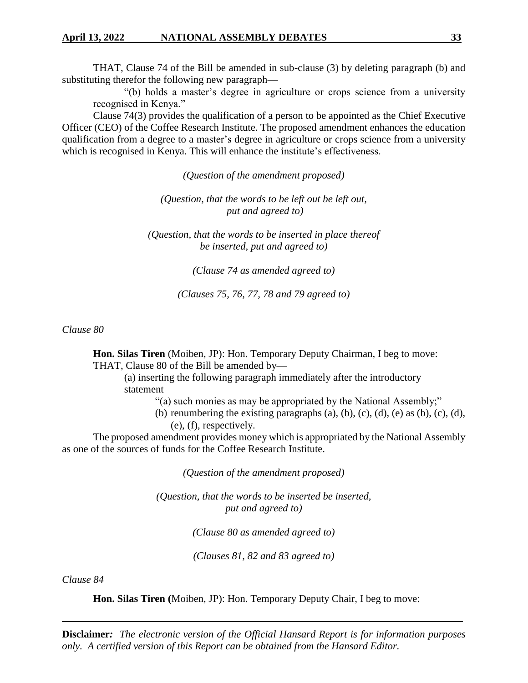THAT, Clause 74 of the Bill be amended in sub-clause (3) by deleting paragraph (b) and substituting therefor the following new paragraph—

"(b) holds a master's degree in agriculture or crops science from a university recognised in Kenya."

Clause 74(3) provides the qualification of a person to be appointed as the Chief Executive Officer (CEO) of the Coffee Research Institute. The proposed amendment enhances the education qualification from a degree to a master's degree in agriculture or crops science from a university which is recognised in Kenya. This will enhance the institute's effectiveness.

*(Question of the amendment proposed)*

*(Question, that the words to be left out be left out, put and agreed to)*

*(Question, that the words to be inserted in place thereof be inserted, put and agreed to)*

*(Clause 74 as amended agreed to)*

*(Clauses 75, 76, 77, 78 and 79 agreed to)*

*Clause 80*

**Hon. Silas Tiren** (Moiben, JP): Hon. Temporary Deputy Chairman, I beg to move: THAT, Clause 80 of the Bill be amended by—

(a) inserting the following paragraph immediately after the introductory statement—

- "(a) such monies as may be appropriated by the National Assembly;"
- (b) renumbering the existing paragraphs  $(a)$ ,  $(b)$ ,  $(c)$ ,  $(d)$ ,  $(e)$  as  $(b)$ ,  $(c)$ ,  $(d)$ , (e), (f), respectively.

The proposed amendment provides money which is appropriated by the National Assembly as one of the sources of funds for the Coffee Research Institute.

*(Question of the amendment proposed)*

*(Question, that the words to be inserted be inserted, put and agreed to)*

*(Clause 80 as amended agreed to)*

*(Clauses 81, 82 and 83 agreed to)*

*Clause 84*

**Hon. Silas Tiren (**Moiben, JP): Hon. Temporary Deputy Chair, I beg to move: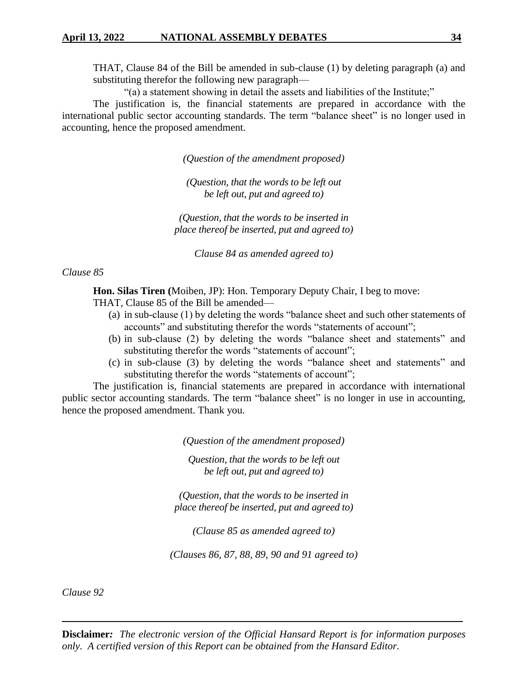THAT, Clause 84 of the Bill be amended in sub-clause (1) by deleting paragraph (a) and substituting therefor the following new paragraph—

"(a) a statement showing in detail the assets and liabilities of the Institute;"

The justification is, the financial statements are prepared in accordance with the international public sector accounting standards. The term "balance sheet" is no longer used in accounting, hence the proposed amendment.

*(Question of the amendment proposed)*

*(Question, that the words to be left out be left out, put and agreed to)*

*(Question, that the words to be inserted in place thereof be inserted, put and agreed to)*

*Clause 84 as amended agreed to)*

*Clause 85*

**Hon. Silas Tiren (**Moiben, JP): Hon. Temporary Deputy Chair, I beg to move:

THAT, Clause 85 of the Bill be amended—

- (a) in sub-clause (1) by deleting the words "balance sheet and such other statements of accounts" and substituting therefor the words "statements of account";
- (b) in sub-clause (2) by deleting the words "balance sheet and statements" and substituting therefor the words "statements of account";
- (c) in sub-clause (3) by deleting the words "balance sheet and statements" and substituting therefor the words "statements of account";

The justification is, financial statements are prepared in accordance with international public sector accounting standards. The term "balance sheet" is no longer in use in accounting, hence the proposed amendment. Thank you.

*(Question of the amendment proposed)*

*Question, that the words to be left out be left out, put and agreed to)*

*(Question, that the words to be inserted in place thereof be inserted, put and agreed to)*

*(Clause 85 as amended agreed to)*

*(Clauses 86, 87, 88, 89, 90 and 91 agreed to)*

*Clause 92*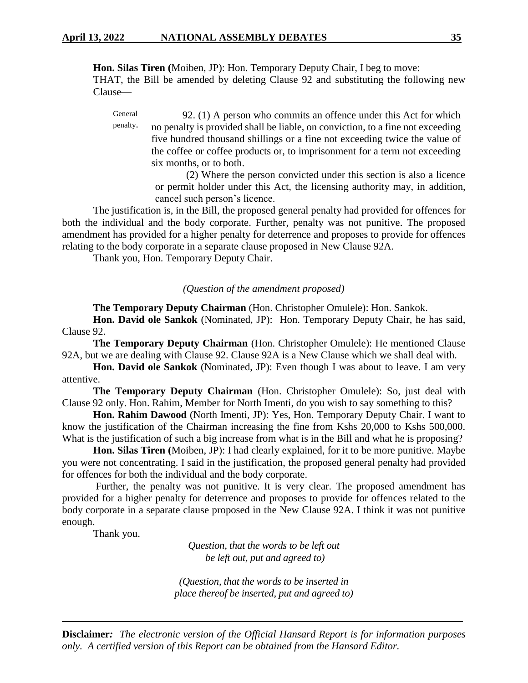**Hon. Silas Tiren (**Moiben, JP): Hon. Temporary Deputy Chair, I beg to move: THAT, the Bill be amended by deleting Clause 92 and substituting the following new Clause—

General penalty. 92. (1) A person who commits an offence under this Act for which no penalty is provided shall be liable, on conviction, to a fine not exceeding five hundred thousand shillings or a fine not exceeding twice the value of the coffee or coffee products or, to imprisonment for a term not exceeding six months, or to both.

> (2) Where the person convicted under this section is also a licence or permit holder under this Act, the licensing authority may, in addition, cancel such person's licence.

The justification is, in the Bill, the proposed general penalty had provided for offences for both the individual and the body corporate. Further, penalty was not punitive. The proposed amendment has provided for a higher penalty for deterrence and proposes to provide for offences relating to the body corporate in a separate clause proposed in New Clause 92A.

Thank you, Hon. Temporary Deputy Chair.

# *(Question of the amendment proposed)*

**The Temporary Deputy Chairman** (Hon. Christopher Omulele): Hon. Sankok.

**Hon. David ole Sankok** (Nominated, JP): Hon. Temporary Deputy Chair, he has said, Clause 92.

**The Temporary Deputy Chairman** (Hon. Christopher Omulele): He mentioned Clause 92A, but we are dealing with Clause 92. Clause 92A is a New Clause which we shall deal with.

**Hon. David ole Sankok** (Nominated, JP): Even though I was about to leave. I am very attentive.

**The Temporary Deputy Chairman** (Hon. Christopher Omulele): So, just deal with Clause 92 only. Hon. Rahim, Member for North Imenti, do you wish to say something to this?

**Hon. Rahim Dawood** (North Imenti, JP): Yes, Hon. Temporary Deputy Chair. I want to know the justification of the Chairman increasing the fine from Kshs 20,000 to Kshs 500,000. What is the justification of such a big increase from what is in the Bill and what he is proposing?

**Hon. Silas Tiren (**Moiben, JP): I had clearly explained, for it to be more punitive. Maybe you were not concentrating. I said in the justification, the proposed general penalty had provided for offences for both the individual and the body corporate.

Further, the penalty was not punitive. It is very clear. The proposed amendment has provided for a higher penalty for deterrence and proposes to provide for offences related to the body corporate in a separate clause proposed in the New Clause 92A. I think it was not punitive enough.

Thank you.

*Question, that the words to be left out be left out, put and agreed to)*

*(Question, that the words to be inserted in place thereof be inserted, put and agreed to)*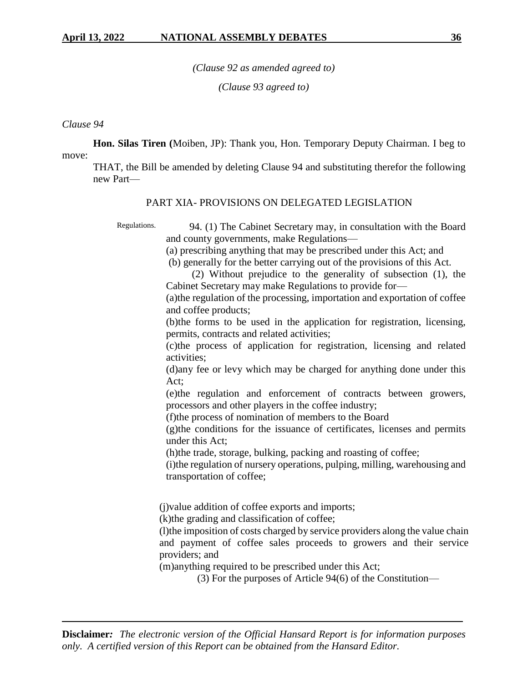*(Clause 92 as amended agreed to)*

*(Clause 93 agreed to)*

### *Clause 94*

**Hon. Silas Tiren (**Moiben, JP): Thank you, Hon. Temporary Deputy Chairman. I beg to

move:

THAT, the Bill be amended by deleting Clause 94 and substituting therefor the following new Part—

#### PART XIA- PROVISIONS ON DELEGATED LEGISLATION

Regulations.

 94. (1) The Cabinet Secretary may, in consultation with the Board and county governments, make Regulations—

(a) prescribing anything that may be prescribed under this Act; and

(b) generally for the better carrying out of the provisions of this Act.

 (2) Without prejudice to the generality of subsection (1), the Cabinet Secretary may make Regulations to provide for—

(a)the regulation of the processing, importation and exportation of coffee and coffee products;

(b)the forms to be used in the application for registration, licensing, permits, contracts and related activities;

(c)the process of application for registration, licensing and related activities;

(d)any fee or levy which may be charged for anything done under this Act;

(e)the regulation and enforcement of contracts between growers, processors and other players in the coffee industry;

(f)the process of nomination of members to the Board

(g)the conditions for the issuance of certificates, licenses and permits under this Act;

(h)the trade, storage, bulking, packing and roasting of coffee;

(i)the regulation of nursery operations, pulping, milling, warehousing and transportation of coffee;

(j)value addition of coffee exports and imports;

(k)the grading and classification of coffee;

(l)the imposition of costs charged by service providers along the value chain and payment of coffee sales proceeds to growers and their service providers; and

(m)anything required to be prescribed under this Act;

(3) For the purposes of Article 94(6) of the Constitution—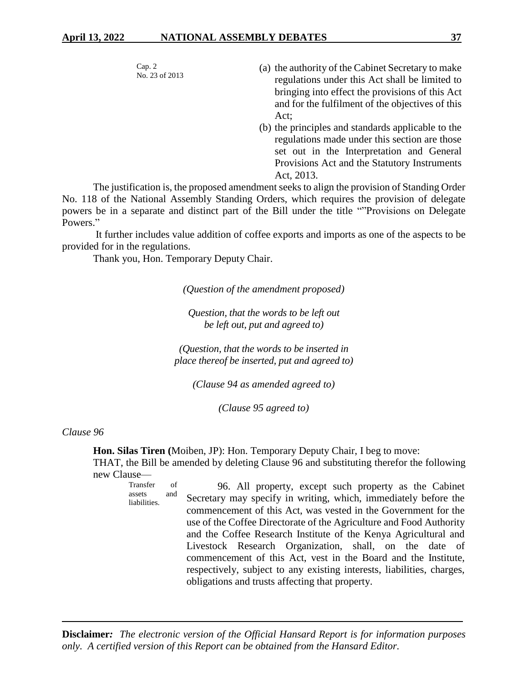Cap. 2 No. 23 of 2013

- (a) the authority of the Cabinet Secretary to make regulations under this Act shall be limited to bringing into effect the provisions of this Act and for the fulfilment of the objectives of this Act;
- (b) the principles and standards applicable to the regulations made under this section are those set out in the Interpretation and General Provisions Act and the Statutory Instruments Act, 2013.

The justification is, the proposed amendment seeks to align the provision of Standing Order No. 118 of the National Assembly Standing Orders, which requires the provision of delegate powers be in a separate and distinct part of the Bill under the title ""Provisions on Delegate Powers."

It further includes value addition of coffee exports and imports as one of the aspects to be provided for in the regulations.

Thank you, Hon. Temporary Deputy Chair.

*(Question of the amendment proposed)*

*Question, that the words to be left out be left out, put and agreed to)*

*(Question, that the words to be inserted in place thereof be inserted, put and agreed to)*

*(Clause 94 as amended agreed to)*

*(Clause 95 agreed to)*

*Clause 96*

**Hon. Silas Tiren (**Moiben, JP): Hon. Temporary Deputy Chair, I beg to move:

THAT, the Bill be amended by deleting Clause 96 and substituting therefor the following new Clause—

Transfer of assets and liabilities. 96. All property, except such property as the Cabinet Secretary may specify in writing, which, immediately before the commencement of this Act, was vested in the Government for the use of the Coffee Directorate of the Agriculture and Food Authority and the Coffee Research Institute of the Kenya Agricultural and Livestock Research Organization, shall, on the date of commencement of this Act, vest in the Board and the Institute, respectively, subject to any existing interests, liabilities, charges, obligations and trusts affecting that property.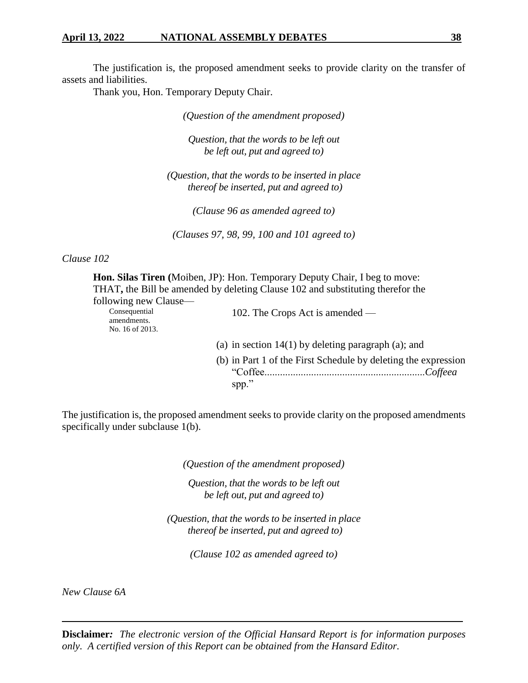#### **April 13, 2022 NATIONAL ASSEMBLY DEBATES 38**

The justification is, the proposed amendment seeks to provide clarity on the transfer of assets and liabilities.

Thank you, Hon. Temporary Deputy Chair.

*(Question of the amendment proposed)*

*Question, that the words to be left out be left out, put and agreed to)*

*(Question, that the words to be inserted in place thereof be inserted, put and agreed to)*

*(Clause 96 as amended agreed to)*

*(Clauses 97, 98, 99, 100 and 101 agreed to)*

#### *Clause 102*

**Hon. Silas Tiren (**Moiben, JP): Hon. Temporary Deputy Chair, I beg to move: THAT**,** the Bill be amended by deleting Clause 102 and substituting therefor the following new Clause— Consequential amendments. No. 16 of 2013. 102. The Crops Act is amended — (a) in section 14(1) by deleting paragraph (a); and (b) in Part 1 of the First Schedule by deleting the expression "Coffee..............................................................*Coffeea* spp."

The justification is, the proposed amendment seeks to provide clarity on the proposed amendments specifically under subclause 1(b).

*(Question of the amendment proposed)*

*Question, that the words to be left out be left out, put and agreed to)*

*(Question, that the words to be inserted in place thereof be inserted, put and agreed to)*

*(Clause 102 as amended agreed to)*

*New Clause 6A*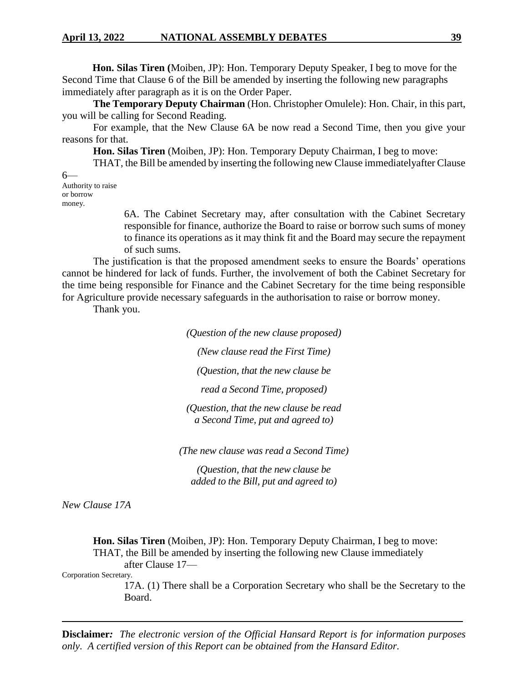**Hon. Silas Tiren (**Moiben, JP): Hon. Temporary Deputy Speaker, I beg to move for the Second Time that Clause 6 of the Bill be amended by inserting the following new paragraphs immediately after paragraph as it is on the Order Paper.

**The Temporary Deputy Chairman** (Hon. Christopher Omulele): Hon. Chair, in this part, you will be calling for Second Reading.

For example, that the New Clause 6A be now read a Second Time, then you give your reasons for that.

**Hon. Silas Tiren** (Moiben, JP): Hon. Temporary Deputy Chairman, I beg to move:

THAT, the Bill be amended by inserting the following new Clause immediatelyafter Clause

6— Authority to raise or borrow money.

> 6A. The Cabinet Secretary may, after consultation with the Cabinet Secretary responsible for finance, authorize the Board to raise or borrow such sums of money to finance its operations as it may think fit and the Board may secure the repayment of such sums.

The justification is that the proposed amendment seeks to ensure the Boards' operations cannot be hindered for lack of funds. Further, the involvement of both the Cabinet Secretary for the time being responsible for Finance and the Cabinet Secretary for the time being responsible for Agriculture provide necessary safeguards in the authorisation to raise or borrow money.

Thank you.

*(Question of the new clause proposed)*

*(New clause read the First Time)*

*(Question, that the new clause be*

*read a Second Time, proposed)*

*(Question, that the new clause be read a Second Time, put and agreed to)*

*(The new clause was read a Second Time)*

*(Question, that the new clause be added to the Bill, put and agreed to)*

*New Clause 17A*

**Hon. Silas Tiren** (Moiben, JP): Hon. Temporary Deputy Chairman, I beg to move: THAT, the Bill be amended by inserting the following new Clause immediately after Clause 17—

Corporation Secretary.

17A. (1) There shall be a Corporation Secretary who shall be the Secretary to the Board.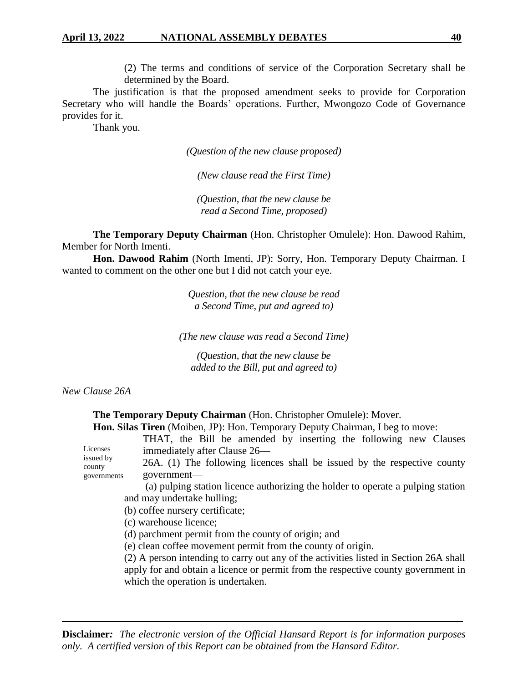#### **April 13, 2022 NATIONAL ASSEMBLY DEBATES 40**

(2) The terms and conditions of service of the Corporation Secretary shall be determined by the Board.

The justification is that the proposed amendment seeks to provide for Corporation Secretary who will handle the Boards' operations. Further, Mwongozo Code of Governance provides for it.

Thank you.

*(Question of the new clause proposed)*

*(New clause read the First Time)*

*(Question, that the new clause be read a Second Time, proposed)*

**The Temporary Deputy Chairman** (Hon. Christopher Omulele): Hon. Dawood Rahim, Member for North Imenti.

**Hon. Dawood Rahim** (North Imenti, JP): Sorry, Hon. Temporary Deputy Chairman. I wanted to comment on the other one but I did not catch your eye.

> *Question, that the new clause be read a Second Time, put and agreed to)*

*(The new clause was read a Second Time)*

*(Question, that the new clause be added to the Bill, put and agreed to)*

*New Clause 26A*

**The Temporary Deputy Chairman** (Hon. Christopher Omulele): Mover.

**Hon. Silas Tiren** (Moiben, JP): Hon. Temporary Deputy Chairman, I beg to move:

| Licenses<br>issued by<br>county<br>governments                                                                                                                                  | THAT, the Bill be amended by inserting the following new Clauses<br>immediately after Clause 26— |  |  |  |  |                                                                                                                                                                                                                  |
|---------------------------------------------------------------------------------------------------------------------------------------------------------------------------------|--------------------------------------------------------------------------------------------------|--|--|--|--|------------------------------------------------------------------------------------------------------------------------------------------------------------------------------------------------------------------|
|                                                                                                                                                                                 | 26A. (1) The following licences shall be issued by the respective county                         |  |  |  |  |                                                                                                                                                                                                                  |
|                                                                                                                                                                                 | government—                                                                                      |  |  |  |  |                                                                                                                                                                                                                  |
|                                                                                                                                                                                 | (a) pulping station licence authorizing the holder to operate a pulping station                  |  |  |  |  |                                                                                                                                                                                                                  |
|                                                                                                                                                                                 | and may undertake hulling;                                                                       |  |  |  |  |                                                                                                                                                                                                                  |
| (b) coffee nursery certificate;<br>(c) warehouse licence;<br>(d) parchment permit from the county of origin; and<br>(e) clean coffee movement permit from the county of origin. |                                                                                                  |  |  |  |  |                                                                                                                                                                                                                  |
|                                                                                                                                                                                 |                                                                                                  |  |  |  |  | (2) A person intending to carry out any of the activities listed in Section 26A shall<br>apply for and obtain a licence or permit from the respective county government in<br>which the operation is undertaken. |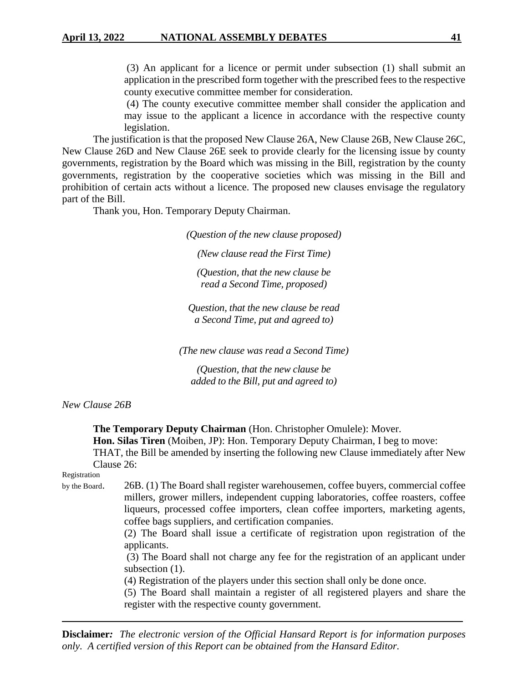(3) An applicant for a licence or permit under subsection (1) shall submit an application in the prescribed form together with the prescribed fees to the respective county executive committee member for consideration.

(4) The county executive committee member shall consider the application and may issue to the applicant a licence in accordance with the respective county legislation.

The justification is that the proposed New Clause 26A, New Clause 26B, New Clause 26C, New Clause 26D and New Clause 26E seek to provide clearly for the licensing issue by county governments, registration by the Board which was missing in the Bill, registration by the county governments, registration by the cooperative societies which was missing in the Bill and prohibition of certain acts without a licence. The proposed new clauses envisage the regulatory part of the Bill.

Thank you, Hon. Temporary Deputy Chairman.

*(Question of the new clause proposed)*

*(New clause read the First Time)*

*(Question, that the new clause be read a Second Time, proposed)*

*Question, that the new clause be read a Second Time, put and agreed to)*

*(The new clause was read a Second Time)*

*(Question, that the new clause be added to the Bill, put and agreed to)*

*New Clause 26B*

**The Temporary Deputy Chairman** (Hon. Christopher Omulele): Mover.

**Hon. Silas Tiren** (Moiben, JP): Hon. Temporary Deputy Chairman, I beg to move:

THAT, the Bill be amended by inserting the following new Clause immediately after New Clause 26:

Registration

by the Board. 26B. (1) The Board shall register warehousemen, coffee buyers, commercial coffee

millers, grower millers, independent cupping laboratories, coffee roasters, coffee liqueurs, processed coffee importers, clean coffee importers, marketing agents, coffee bags suppliers, and certification companies.

(2) The Board shall issue a certificate of registration upon registration of the applicants.

(3) The Board shall not charge any fee for the registration of an applicant under subsection  $(1)$ .

(4) Registration of the players under this section shall only be done once.

(5) The Board shall maintain a register of all registered players and share the register with the respective county government.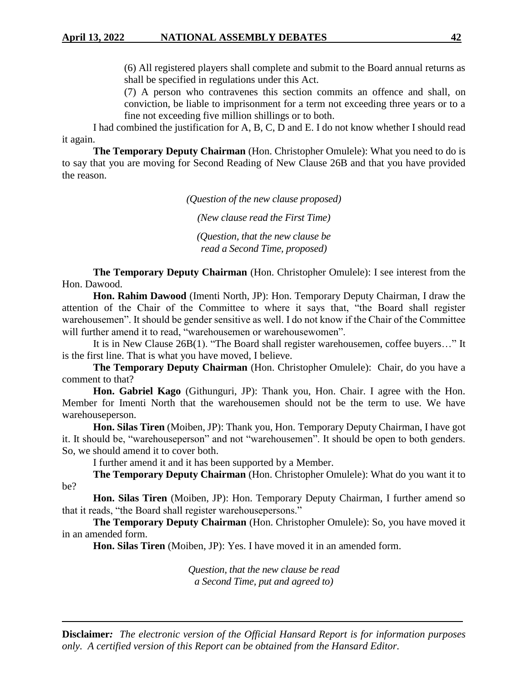(6) All registered players shall complete and submit to the Board annual returns as shall be specified in regulations under this Act.

(7) A person who contravenes this section commits an offence and shall, on conviction, be liable to imprisonment for a term not exceeding three years or to a fine not exceeding five million shillings or to both.

I had combined the justification for A, B, C, D and E. I do not know whether I should read it again.

**The Temporary Deputy Chairman** (Hon. Christopher Omulele): What you need to do is to say that you are moving for Second Reading of New Clause 26B and that you have provided the reason.

*(Question of the new clause proposed)*

*(New clause read the First Time)*

*(Question, that the new clause be read a Second Time, proposed)*

**The Temporary Deputy Chairman** (Hon. Christopher Omulele): I see interest from the Hon. Dawood.

**Hon. Rahim Dawood** (Imenti North, JP): Hon. Temporary Deputy Chairman, I draw the attention of the Chair of the Committee to where it says that, "the Board shall register warehousemen". It should be gender sensitive as well. I do not know if the Chair of the Committee will further amend it to read, "warehousemen or warehousewomen".

It is in New Clause 26B(1). "The Board shall register warehousemen, coffee buyers…" It is the first line. That is what you have moved, I believe.

**The Temporary Deputy Chairman** (Hon. Christopher Omulele): Chair, do you have a comment to that?

**Hon. Gabriel Kago** (Githunguri, JP): Thank you, Hon. Chair. I agree with the Hon. Member for Imenti North that the warehousemen should not be the term to use. We have warehouseperson.

**Hon. Silas Tiren** (Moiben, JP): Thank you, Hon. Temporary Deputy Chairman, I have got it. It should be, "warehouseperson" and not "warehousemen". It should be open to both genders. So, we should amend it to cover both.

I further amend it and it has been supported by a Member.

**The Temporary Deputy Chairman** (Hon. Christopher Omulele): What do you want it to be?

**Hon. Silas Tiren** (Moiben, JP): Hon. Temporary Deputy Chairman, I further amend so that it reads, "the Board shall register warehousepersons."

**The Temporary Deputy Chairman** (Hon. Christopher Omulele): So, you have moved it in an amended form.

**Hon. Silas Tiren** (Moiben, JP): Yes. I have moved it in an amended form.

*Question, that the new clause be read a Second Time, put and agreed to)*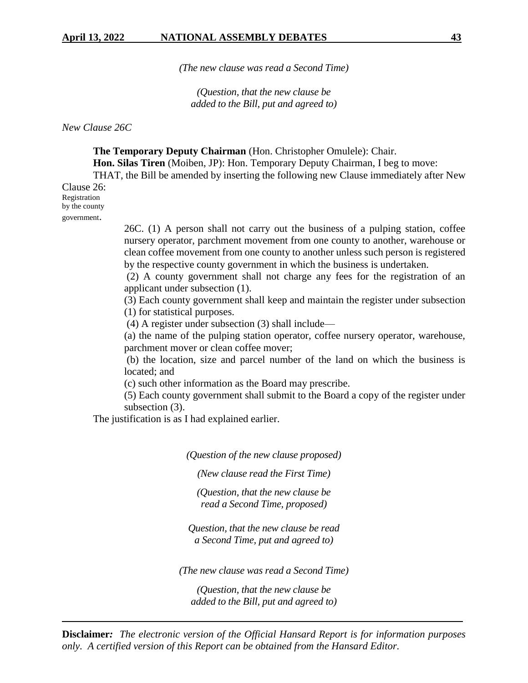*(The new clause was read a Second Time)*

*(Question, that the new clause be added to the Bill, put and agreed to)*

*New Clause 26C*

**The Temporary Deputy Chairman** (Hon. Christopher Omulele): Chair. **Hon. Silas Tiren** (Moiben, JP): Hon. Temporary Deputy Chairman, I beg to move: THAT, the Bill be amended by inserting the following new Clause immediately after New

Clause 26: Registration by the county government.

> 26C. (1) A person shall not carry out the business of a pulping station, coffee nursery operator, parchment movement from one county to another, warehouse or clean coffee movement from one county to another unless such person is registered by the respective county government in which the business is undertaken.

> (2) A county government shall not charge any fees for the registration of an applicant under subsection (1).

> (3) Each county government shall keep and maintain the register under subsection (1) for statistical purposes.

(4) A register under subsection (3) shall include—

(a) the name of the pulping station operator, coffee nursery operator, warehouse, parchment mover or clean coffee mover;

(b) the location, size and parcel number of the land on which the business is located; and

(c) such other information as the Board may prescribe.

(5) Each county government shall submit to the Board a copy of the register under subsection (3).

The justification is as I had explained earlier.

*(Question of the new clause proposed)*

*(New clause read the First Time)*

*(Question, that the new clause be read a Second Time, proposed)*

*Question, that the new clause be read a Second Time, put and agreed to)*

*(The new clause was read a Second Time)*

*(Question, that the new clause be added to the Bill, put and agreed to)*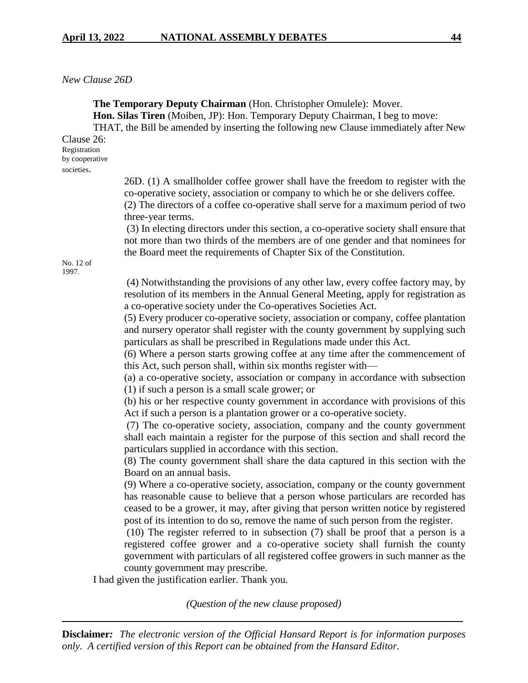### *New Clause 26D*

**The Temporary Deputy Chairman** (Hon. Christopher Omulele): Mover.

**Hon. Silas Tiren** (Moiben, JP): Hon. Temporary Deputy Chairman, I beg to move:

THAT, the Bill be amended by inserting the following new Clause immediately after New

Clause 26: Registration by cooperative societies.

> 26D. (1) A smallholder coffee grower shall have the freedom to register with the co-operative society, association or company to which he or she delivers coffee. (2) The directors of a coffee co-operative shall serve for a maximum period of two

three-year terms.

(3) In electing directors under this section, a co-operative society shall ensure that not more than two thirds of the members are of one gender and that nominees for the Board meet the requirements of Chapter Six of the Constitution.

No. 12 of 1997.

> (4) Notwithstanding the provisions of any other law, every coffee factory may, by resolution of its members in the Annual General Meeting, apply for registration as a co-operative society under the Co-operatives Societies Act.

> (5) Every producer co-operative society, association or company, coffee plantation and nursery operator shall register with the county government by supplying such particulars as shall be prescribed in Regulations made under this Act.

> (6) Where a person starts growing coffee at any time after the commencement of this Act, such person shall, within six months register with—

> (a) a co-operative society, association or company in accordance with subsection (1) if such a person is a small scale grower; or

> (b) his or her respective county government in accordance with provisions of this Act if such a person is a plantation grower or a co-operative society.

> (7) The co-operative society, association, company and the county government shall each maintain a register for the purpose of this section and shall record the particulars supplied in accordance with this section.

> (8) The county government shall share the data captured in this section with the Board on an annual basis.

> (9) Where a co-operative society, association, company or the county government has reasonable cause to believe that a person whose particulars are recorded has ceased to be a grower, it may, after giving that person written notice by registered post of its intention to do so, remove the name of such person from the register.

> (10) The register referred to in subsection (7) shall be proof that a person is a registered coffee grower and a co-operative society shall furnish the county government with particulars of all registered coffee growers in such manner as the county government may prescribe.

I had given the justification earlier. Thank you.

*(Question of the new clause proposed)*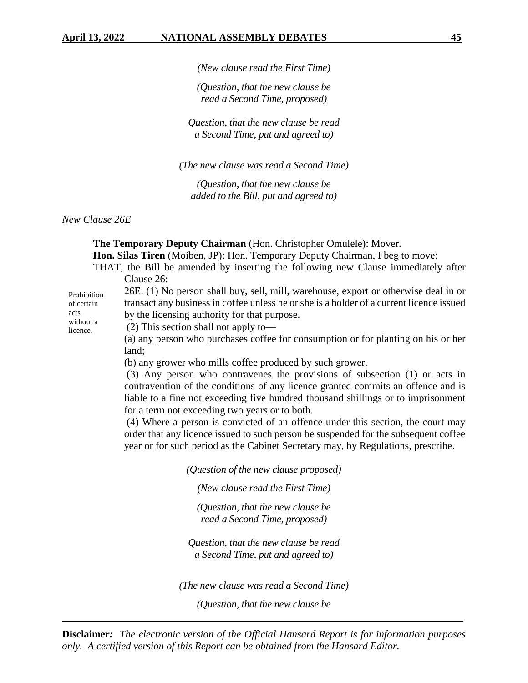*(New clause read the First Time)*

*(Question, that the new clause be read a Second Time, proposed)*

*Question, that the new clause be read a Second Time, put and agreed to)*

*(The new clause was read a Second Time)*

*(Question, that the new clause be added to the Bill, put and agreed to)*

*New Clause 26E*

**The Temporary Deputy Chairman** (Hon. Christopher Omulele): Mover.

**Hon. Silas Tiren** (Moiben, JP): Hon. Temporary Deputy Chairman, I beg to move:

THAT, the Bill be amended by inserting the following new Clause immediately after Clause 26:

26E. (1) No person shall buy, sell, mill, warehouse, export or otherwise deal in or transact any business in coffee unless he or she is a holder of a current licence issued by the licensing authority for that purpose. Prohibition of certain

acts without a licence.

(2) This section shall not apply to—

(a) any person who purchases coffee for consumption or for planting on his or her land;

(b) any grower who mills coffee produced by such grower.

(3) Any person who contravenes the provisions of subsection (1) or acts in contravention of the conditions of any licence granted commits an offence and is liable to a fine not exceeding five hundred thousand shillings or to imprisonment for a term not exceeding two years or to both.

(4) Where a person is convicted of an offence under this section, the court may order that any licence issued to such person be suspended for the subsequent coffee year or for such period as the Cabinet Secretary may, by Regulations, prescribe.

*(Question of the new clause proposed)*

*(New clause read the First Time)*

*(Question, that the new clause be read a Second Time, proposed)*

*Question, that the new clause be read a Second Time, put and agreed to)*

*(The new clause was read a Second Time)*

*(Question, that the new clause be*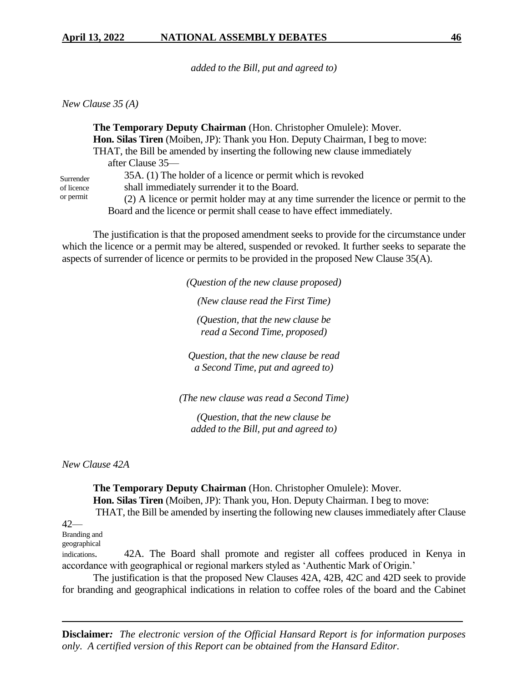*added to the Bill, put and agreed to)*

*New Clause 35 (A)*

**The Temporary Deputy Chairman** (Hon. Christopher Omulele): Mover. **Hon. Silas Tiren** (Moiben, JP): Thank you Hon. Deputy Chairman, I beg to move: THAT, the Bill be amended by inserting the following new clause immediately after Clause 35—

Surrender of licence or permit

35A. (1) The holder of a licence or permit which is revoked

shall immediately surrender it to the Board.

(2) A licence or permit holder may at any time surrender the licence or permit to the Board and the licence or permit shall cease to have effect immediately.

The justification is that the proposed amendment seeks to provide for the circumstance under which the licence or a permit may be altered, suspended or revoked. It further seeks to separate the aspects of surrender of licence or permits to be provided in the proposed New Clause 35(A).

> *(Question of the new clause proposed) (New clause read the First Time) (Question, that the new clause be read a Second Time, proposed)*

*Question, that the new clause be read a Second Time, put and agreed to)*

*(The new clause was read a Second Time)*

*(Question, that the new clause be added to the Bill, put and agreed to)*

*New Clause 42A*

**The Temporary Deputy Chairman** (Hon. Christopher Omulele): Mover. **Hon. Silas Tiren** (Moiben, JP): Thank you, Hon. Deputy Chairman. I beg to move: THAT, the Bill be amended by inserting the following new clauses immediately after Clause

#### $42-$

Branding and

geographical

indications. 42A. The Board shall promote and register all coffees produced in Kenya in accordance with geographical or regional markers styled as 'Authentic Mark of Origin.'

 The justification is that the proposed New Clauses 42A, 42B, 42C and 42D seek to provide for branding and geographical indications in relation to coffee roles of the board and the Cabinet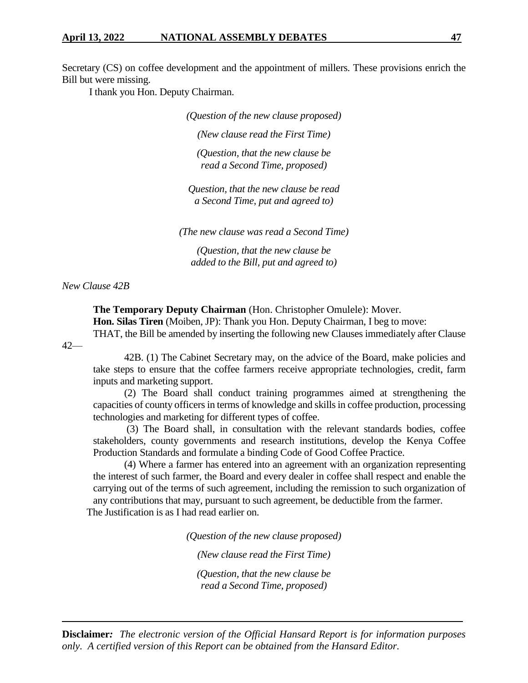Secretary (CS) on coffee development and the appointment of millers. These provisions enrich the Bill but were missing.

I thank you Hon. Deputy Chairman.

*(Question of the new clause proposed)*

*(New clause read the First Time)*

*(Question, that the new clause be read a Second Time, proposed)*

*Question, that the new clause be read a Second Time, put and agreed to)*

*(The new clause was read a Second Time)*

*(Question, that the new clause be added to the Bill, put and agreed to)*

*New Clause 42B*

**The Temporary Deputy Chairman** (Hon. Christopher Omulele): Mover. **Hon. Silas Tiren** (Moiben, JP): Thank you Hon. Deputy Chairman, I beg to move: THAT, the Bill be amended by inserting the following new Clauses immediately after Clause

42—

42B. (1) The Cabinet Secretary may, on the advice of the Board, make policies and take steps to ensure that the coffee farmers receive appropriate technologies, credit, farm inputs and marketing support.

(2) The Board shall conduct training programmes aimed at strengthening the capacities of county officers in terms of knowledge and skills in coffee production, processing technologies and marketing for different types of coffee.

(3) The Board shall, in consultation with the relevant standards bodies, coffee stakeholders, county governments and research institutions, develop the Kenya Coffee Production Standards and formulate a binding Code of Good Coffee Practice.

(4) Where a farmer has entered into an agreement with an organization representing the interest of such farmer, the Board and every dealer in coffee shall respect and enable the carrying out of the terms of such agreement, including the remission to such organization of any contributions that may, pursuant to such agreement, be deductible from the farmer.

The Justification is as I had read earlier on.

*(Question of the new clause proposed)*

*(New clause read the First Time)*

*(Question, that the new clause be read a Second Time, proposed)*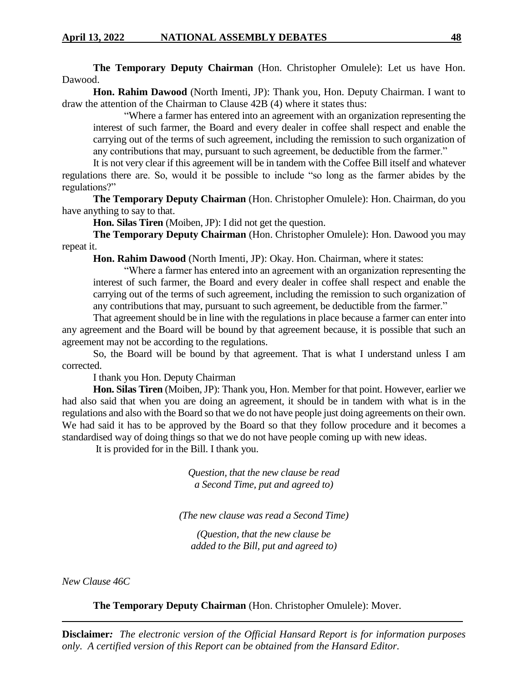**The Temporary Deputy Chairman** (Hon. Christopher Omulele): Let us have Hon. Dawood.

**Hon. Rahim Dawood** (North Imenti, JP): Thank you, Hon. Deputy Chairman. I want to draw the attention of the Chairman to Clause 42B (4) where it states thus:

"Where a farmer has entered into an agreement with an organization representing the interest of such farmer, the Board and every dealer in coffee shall respect and enable the carrying out of the terms of such agreement, including the remission to such organization of any contributions that may, pursuant to such agreement, be deductible from the farmer."

It is not very clear if this agreement will be in tandem with the Coffee Bill itself and whatever regulations there are. So, would it be possible to include "so long as the farmer abides by the regulations?"

**The Temporary Deputy Chairman** (Hon. Christopher Omulele): Hon. Chairman, do you have anything to say to that.

**Hon. Silas Tiren** (Moiben, JP): I did not get the question.

**The Temporary Deputy Chairman** (Hon. Christopher Omulele): Hon. Dawood you may repeat it.

**Hon. Rahim Dawood** (North Imenti, JP): Okay. Hon. Chairman, where it states:

"Where a farmer has entered into an agreement with an organization representing the interest of such farmer, the Board and every dealer in coffee shall respect and enable the carrying out of the terms of such agreement, including the remission to such organization of any contributions that may, pursuant to such agreement, be deductible from the farmer."

That agreement should be in line with the regulations in place because a farmer can enter into any agreement and the Board will be bound by that agreement because, it is possible that such an agreement may not be according to the regulations.

So, the Board will be bound by that agreement. That is what I understand unless I am corrected.

I thank you Hon. Deputy Chairman

**Hon. Silas Tiren** (Moiben, JP): Thank you, Hon. Member for that point. However, earlier we had also said that when you are doing an agreement, it should be in tandem with what is in the regulations and also with the Board so that we do not have people just doing agreements on their own. We had said it has to be approved by the Board so that they follow procedure and it becomes a standardised way of doing things so that we do not have people coming up with new ideas.

It is provided for in the Bill. I thank you.

*Question, that the new clause be read a Second Time, put and agreed to)*

*(The new clause was read a Second Time)*

*(Question, that the new clause be added to the Bill, put and agreed to)*

*New Clause 46C*

**The Temporary Deputy Chairman** (Hon. Christopher Omulele): Mover.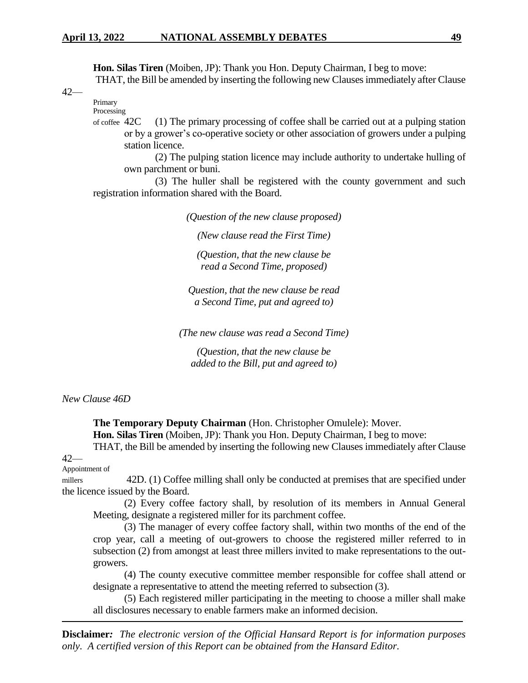**Hon. Silas Tiren** (Moiben, JP): Thank you Hon. Deputy Chairman, I beg to move: THAT, the Bill be amended by inserting the following new Clauses immediately after Clause

42—

Primary Processing

of coffee 42C (1) The primary processing of coffee shall be carried out at a pulping station or by a grower's co-operative society or other association of growers under a pulping station licence.

(2) The pulping station licence may include authority to undertake hulling of own parchment or buni.

(3) The huller shall be registered with the county government and such registration information shared with the Board.

*(Question of the new clause proposed)*

*(New clause read the First Time)*

*(Question, that the new clause be read a Second Time, proposed)*

*Question, that the new clause be read a Second Time, put and agreed to)*

*(The new clause was read a Second Time)*

*(Question, that the new clause be added to the Bill, put and agreed to)*

*New Clause 46D*

**The Temporary Deputy Chairman** (Hon. Christopher Omulele): Mover. **Hon. Silas Tiren** (Moiben, JP): Thank you Hon. Deputy Chairman, I beg to move:

THAT, the Bill be amended by inserting the following new Clauses immediately after Clause  $42-$ 

#### Appointment of

millers 42D. (1) Coffee milling shall only be conducted at premises that are specified under the licence issued by the Board.

(2) Every coffee factory shall, by resolution of its members in Annual General Meeting, designate a registered miller for its parchment coffee.

(3) The manager of every coffee factory shall, within two months of the end of the crop year, call a meeting of out-growers to choose the registered miller referred to in subsection (2) from amongst at least three millers invited to make representations to the outgrowers.

(4) The county executive committee member responsible for coffee shall attend or designate a representative to attend the meeting referred to subsection (3).

(5) Each registered miller participating in the meeting to choose a miller shall make all disclosures necessary to enable farmers make an informed decision.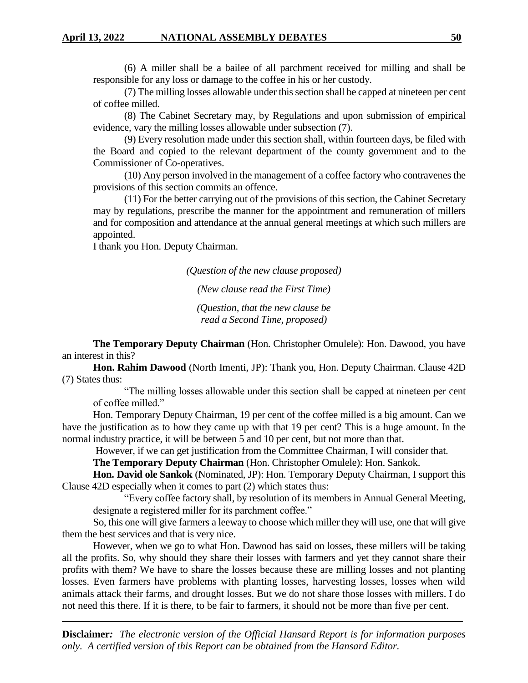(6) A miller shall be a bailee of all parchment received for milling and shall be responsible for any loss or damage to the coffee in his or her custody.

(7) The milling losses allowable under this section shall be capped at nineteen per cent of coffee milled.

(8) The Cabinet Secretary may, by Regulations and upon submission of empirical evidence, vary the milling losses allowable under subsection (7).

(9) Every resolution made under this section shall, within fourteen days, be filed with the Board and copied to the relevant department of the county government and to the Commissioner of Co-operatives.

(10) Any person involved in the management of a coffee factory who contravenes the provisions of this section commits an offence.

(11) For the better carrying out of the provisions of this section, the Cabinet Secretary may by regulations, prescribe the manner for the appointment and remuneration of millers and for composition and attendance at the annual general meetings at which such millers are appointed.

I thank you Hon. Deputy Chairman.

*(Question of the new clause proposed)*

*(New clause read the First Time)*

*(Question, that the new clause be read a Second Time, proposed)*

**The Temporary Deputy Chairman** (Hon. Christopher Omulele): Hon. Dawood, you have an interest in this?

**Hon. Rahim Dawood** (North Imenti, JP): Thank you, Hon. Deputy Chairman. Clause 42D (7) States thus:

"The milling losses allowable under this section shall be capped at nineteen per cent of coffee milled."

Hon. Temporary Deputy Chairman, 19 per cent of the coffee milled is a big amount. Can we have the justification as to how they came up with that 19 per cent? This is a huge amount. In the normal industry practice, it will be between 5 and 10 per cent, but not more than that.

However, if we can get justification from the Committee Chairman, I will consider that.

**The Temporary Deputy Chairman** (Hon. Christopher Omulele): Hon. Sankok.

**Hon. David ole Sankok** (Nominated, JP): Hon. Temporary Deputy Chairman, I support this Clause 42D especially when it comes to part (2) which states thus:

"Every coffee factory shall, by resolution of its members in Annual General Meeting, designate a registered miller for its parchment coffee."

So, this one will give farmers a leeway to choose which miller they will use, one that will give them the best services and that is very nice.

However, when we go to what Hon. Dawood has said on losses, these millers will be taking all the profits. So, why should they share their losses with farmers and yet they cannot share their profits with them? We have to share the losses because these are milling losses and not planting losses. Even farmers have problems with planting losses, harvesting losses, losses when wild animals attack their farms, and drought losses. But we do not share those losses with millers. I do not need this there. If it is there, to be fair to farmers, it should not be more than five per cent.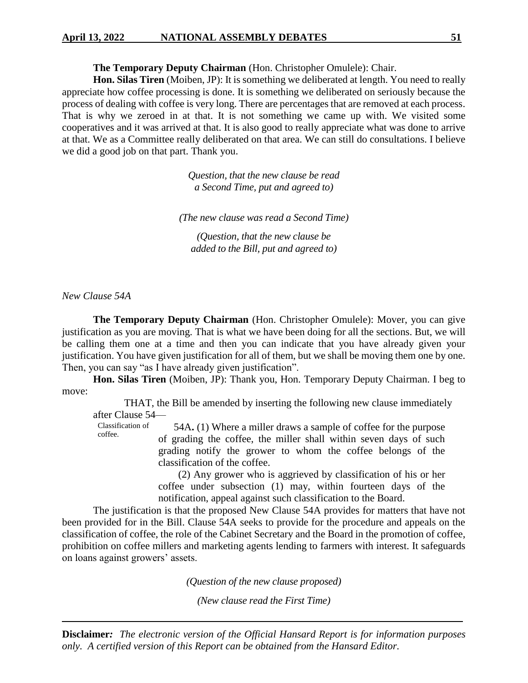# **April 13, 2022 NATIONAL ASSEMBLY DEBATES 51**

**The Temporary Deputy Chairman** (Hon. Christopher Omulele): Chair.

**Hon. Silas Tiren** (Moiben, JP): It is something we deliberated at length. You need to really appreciate how coffee processing is done. It is something we deliberated on seriously because the process of dealing with coffee is very long. There are percentages that are removed at each process. That is why we zeroed in at that. It is not something we came up with. We visited some cooperatives and it was arrived at that. It is also good to really appreciate what was done to arrive at that. We as a Committee really deliberated on that area. We can still do consultations. I believe we did a good job on that part. Thank you.

> *Question, that the new clause be read a Second Time, put and agreed to)*

*(The new clause was read a Second Time)*

*(Question, that the new clause be added to the Bill, put and agreed to)*

*New Clause 54A*

**The Temporary Deputy Chairman** (Hon. Christopher Omulele): Mover, you can give justification as you are moving. That is what we have been doing for all the sections. But, we will be calling them one at a time and then you can indicate that you have already given your justification. You have given justification for all of them, but we shall be moving them one by one. Then, you can say "as I have already given justification".

**Hon. Silas Tiren** (Moiben, JP): Thank you, Hon. Temporary Deputy Chairman. I beg to move:

THAT, the Bill be amended by inserting the following new clause immediately after Clause 54—

Classification of coffee. 54A**.** (1) Where a miller draws a sample of coffee for the purpose of grading the coffee, the miller shall within seven days of such grading notify the grower to whom the coffee belongs of the classification of the coffee.

> (2) Any grower who is aggrieved by classification of his or her coffee under subsection (1) may, within fourteen days of the notification, appeal against such classification to the Board.

The justification is that the proposed New Clause 54A provides for matters that have not been provided for in the Bill. Clause 54A seeks to provide for the procedure and appeals on the classification of coffee, the role of the Cabinet Secretary and the Board in the promotion of coffee, prohibition on coffee millers and marketing agents lending to farmers with interest. It safeguards on loans against growers' assets.

*(Question of the new clause proposed)*

*(New clause read the First Time)*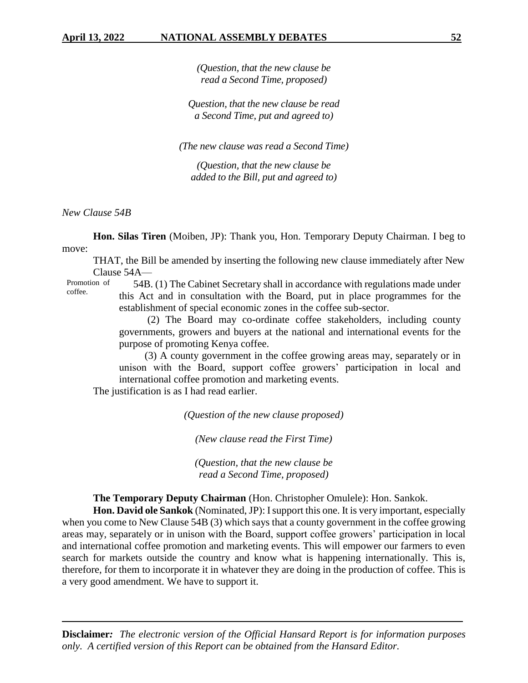*(Question, that the new clause be read a Second Time, proposed)*

*Question, that the new clause be read a Second Time, put and agreed to)*

*(The new clause was read a Second Time)*

*(Question, that the new clause be added to the Bill, put and agreed to)*

*New Clause 54B*

**Hon. Silas Tiren** (Moiben, JP): Thank you, Hon. Temporary Deputy Chairman. I beg to move:

THAT, the Bill be amended by inserting the following new clause immediately after New Clause 54A—

Promotion of coffee. 54B. (1) The Cabinet Secretary shall in accordance with regulations made under this Act and in consultation with the Board, put in place programmes for the establishment of special economic zones in the coffee sub-sector.

> (2) The Board may co-ordinate coffee stakeholders, including county governments, growers and buyers at the national and international events for the purpose of promoting Kenya coffee.

(3) A county government in the coffee growing areas may, separately or in unison with the Board, support coffee growers' participation in local and international coffee promotion and marketing events.

The justification is as I had read earlier.

*(Question of the new clause proposed)*

*(New clause read the First Time)*

*(Question, that the new clause be read a Second Time, proposed)*

**The Temporary Deputy Chairman** (Hon. Christopher Omulele): Hon. Sankok.

**Hon. David ole Sankok** (Nominated, JP): I support this one. It is very important, especially when you come to New Clause 54B (3) which says that a county government in the coffee growing areas may, separately or in unison with the Board, support coffee growers' participation in local and international coffee promotion and marketing events. This will empower our farmers to even search for markets outside the country and know what is happening internationally. This is, therefore, for them to incorporate it in whatever they are doing in the production of coffee. This is a very good amendment. We have to support it.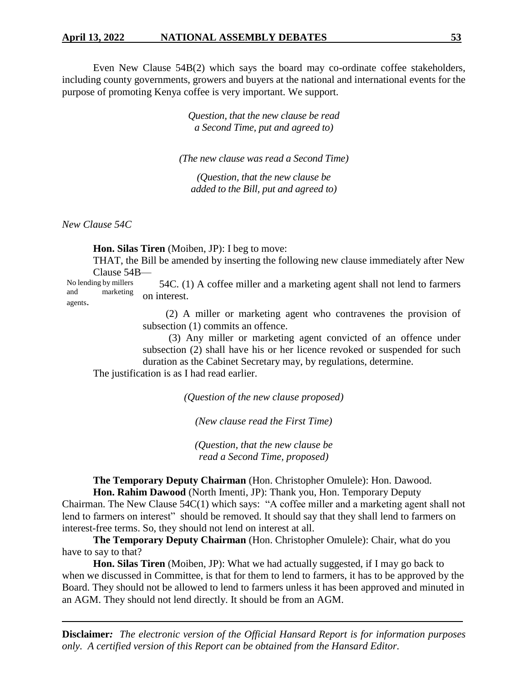Even New Clause 54B(2) which says the board may co-ordinate coffee stakeholders, including county governments, growers and buyers at the national and international events for the purpose of promoting Kenya coffee is very important. We support.

> *Question, that the new clause be read a Second Time, put and agreed to)*

*(The new clause was read a Second Time)*

*(Question, that the new clause be added to the Bill, put and agreed to)*

*New Clause 54C*

**Hon. Silas Tiren** (Moiben, JP): I beg to move:

THAT, the Bill be amended by inserting the following new clause immediately after New Clause 54B—

No lending by millers and marketing agents. 54C. (1) A coffee miller and a marketing agent shall not lend to farmers on interest.

> (2) A miller or marketing agent who contravenes the provision of subsection  $(1)$  commits an offence.

(3) Any miller or marketing agent convicted of an offence under subsection (2) shall have his or her licence revoked or suspended for such duration as the Cabinet Secretary may, by regulations, determine.

The justification is as I had read earlier.

*(Question of the new clause proposed)*

*(New clause read the First Time)*

*(Question, that the new clause be read a Second Time, proposed)*

**The Temporary Deputy Chairman** (Hon. Christopher Omulele): Hon. Dawood. **Hon. Rahim Dawood** (North Imenti, JP): Thank you, Hon. Temporary Deputy

Chairman. The New Clause 54C(1) which says: "A coffee miller and a marketing agent shall not lend to farmers on interest" should be removed. It should say that they shall lend to farmers on interest-free terms. So, they should not lend on interest at all.

**The Temporary Deputy Chairman** (Hon. Christopher Omulele): Chair, what do you have to say to that?

**Hon. Silas Tiren** (Moiben, JP): What we had actually suggested, if I may go back to when we discussed in Committee, is that for them to lend to farmers, it has to be approved by the Board. They should not be allowed to lend to farmers unless it has been approved and minuted in an AGM. They should not lend directly. It should be from an AGM.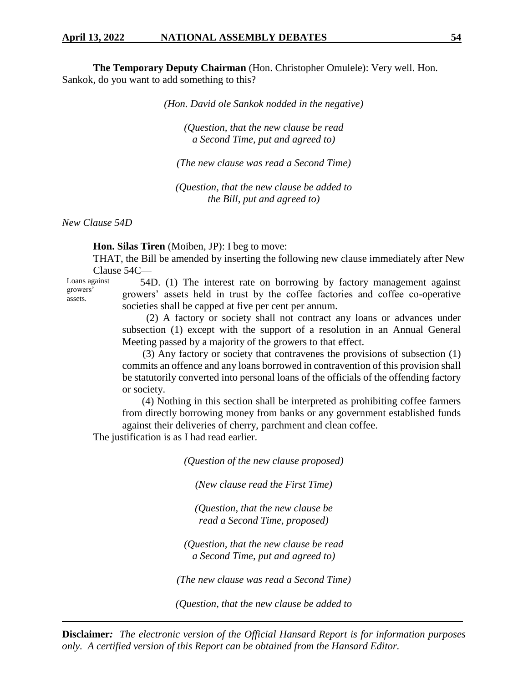**The Temporary Deputy Chairman** (Hon. Christopher Omulele): Very well. Hon. Sankok, do you want to add something to this?

*(Hon. David ole Sankok nodded in the negative)*

*(Question, that the new clause be read a Second Time, put and agreed to)*

*(The new clause was read a Second Time)*

*(Question, that the new clause be added to the Bill, put and agreed to)*

*New Clause 54D*

**Hon. Silas Tiren** (Moiben, JP): I beg to move:

THAT, the Bill be amended by inserting the following new clause immediately after New Clause 54C—

Loans against growers' assets.

54D. (1) The interest rate on borrowing by factory management against growers' assets held in trust by the coffee factories and coffee co-operative societies shall be capped at five per cent per annum.

(2) A factory or society shall not contract any loans or advances under subsection (1) except with the support of a resolution in an Annual General Meeting passed by a majority of the growers to that effect.

(3) Any factory or society that contravenes the provisions of subsection (1) commits an offence and any loans borrowed in contravention of this provision shall be statutorily converted into personal loans of the officials of the offending factory or society.

(4) Nothing in this section shall be interpreted as prohibiting coffee farmers from directly borrowing money from banks or any government established funds against their deliveries of cherry, parchment and clean coffee.

The justification is as I had read earlier.

*(Question of the new clause proposed)*

*(New clause read the First Time)*

*(Question, that the new clause be read a Second Time, proposed)*

*(Question, that the new clause be read a Second Time, put and agreed to)*

*(The new clause was read a Second Time)*

*(Question, that the new clause be added to*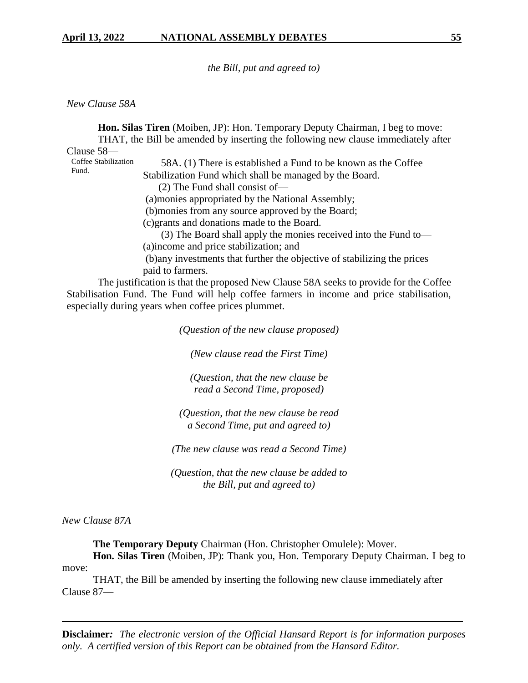*the Bill, put and agreed to)*

#### *New Clause 58A*

**Hon. Silas Tiren** (Moiben, JP): Hon. Temporary Deputy Chairman, I beg to move: THAT, the Bill be amended by inserting the following new clause immediately after Clause 58— Coffee Stabilization Fund. 58A. (1) There is established a Fund to be known as the Coffee Stabilization Fund which shall be managed by the Board. (2) The Fund shall consist of— (a)monies appropriated by the National Assembly; (b)monies from any source approved by the Board; (c)grants and donations made to the Board. (3) The Board shall apply the monies received into the Fund to— (a)income and price stabilization; and (b)any investments that further the objective of stabilizing the prices paid to farmers.

The justification is that the proposed New Clause 58A seeks to provide for the Coffee Stabilisation Fund. The Fund will help coffee farmers in income and price stabilisation, especially during years when coffee prices plummet.

*(Question of the new clause proposed)*

*(New clause read the First Time)*

*(Question, that the new clause be read a Second Time, proposed)*

*(Question, that the new clause be read a Second Time, put and agreed to)*

*(The new clause was read a Second Time)*

*(Question, that the new clause be added to the Bill, put and agreed to)*

*New Clause 87A* 

**The Temporary Deputy** Chairman (Hon. Christopher Omulele): Mover. **Hon. Silas Tiren** (Moiben, JP): Thank you, Hon. Temporary Deputy Chairman. I beg to

move:

 THAT, the Bill be amended by inserting the following new clause immediately after Clause 87—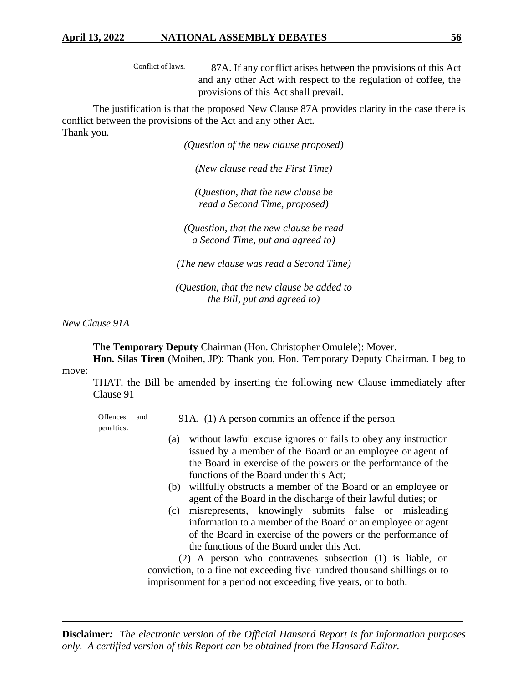Conflict of laws. 87A. If any conflict arises between the provisions of this Act and any other Act with respect to the regulation of coffee, the provisions of this Act shall prevail.

The justification is that the proposed New Clause 87A provides clarity in the case there is conflict between the provisions of the Act and any other Act. Thank you.

*(Question of the new clause proposed)*

*(New clause read the First Time)*

*(Question, that the new clause be read a Second Time, proposed)*

*(Question, that the new clause be read a Second Time, put and agreed to)*

*(The new clause was read a Second Time)*

*(Question, that the new clause be added to the Bill, put and agreed to)*

*New Clause 91A*

**The Temporary Deputy** Chairman (Hon. Christopher Omulele): Mover. **Hon. Silas Tiren** (Moiben, JP): Thank you, Hon. Temporary Deputy Chairman. I beg to

#### move:

THAT, the Bill be amended by inserting the following new Clause immediately after Clause 91—

Offences and penalties. 91A.(1) A person commits an offence if the person—

- (a) without lawful excuse ignores or fails to obey any instruction issued by a member of the Board or an employee or agent of the Board in exercise of the powers or the performance of the functions of the Board under this Act;
- (b) willfully obstructs a member of the Board or an employee or agent of the Board in the discharge of their lawful duties; or
- (c) misrepresents, knowingly submits false or misleading information to a member of the Board or an employee or agent of the Board in exercise of the powers or the performance of the functions of the Board under this Act.

(2) A person who contravenes subsection (1) is liable, on conviction, to a fine not exceeding five hundred thousand shillings or to imprisonment for a period not exceeding five years, or to both.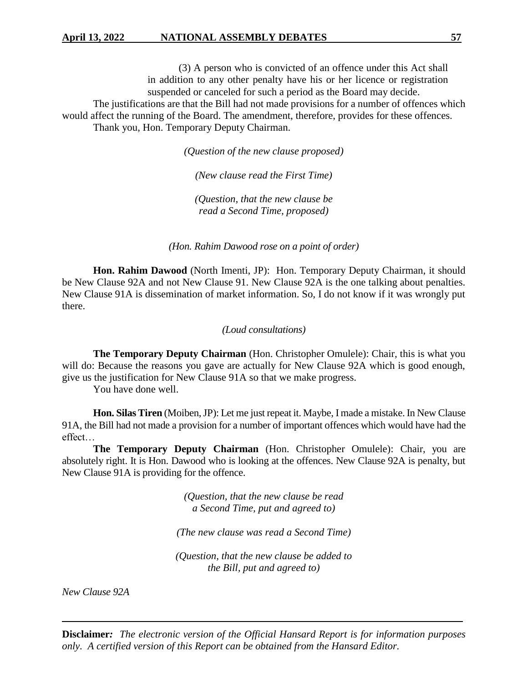(3) A person who is convicted of an offence under this Act shall in addition to any other penalty have his or her licence or registration suspended or canceled for such a period as the Board may decide. The justifications are that the Bill had not made provisions for a number of offences which would affect the running of the Board. The amendment, therefore, provides for these offences. Thank you, Hon. Temporary Deputy Chairman.

*(Question of the new clause proposed)*

*(New clause read the First Time)*

*(Question, that the new clause be read a Second Time, proposed)*

*(Hon. Rahim Dawood rose on a point of order)*

**Hon. Rahim Dawood** (North Imenti, JP): Hon. Temporary Deputy Chairman, it should be New Clause 92A and not New Clause 91. New Clause 92A is the one talking about penalties. New Clause 91A is dissemination of market information. So, I do not know if it was wrongly put there.

*(Loud consultations)*

**The Temporary Deputy Chairman** (Hon. Christopher Omulele): Chair, this is what you will do: Because the reasons you gave are actually for New Clause 92A which is good enough, give us the justification for New Clause 91A so that we make progress.

You have done well.

**Hon. Silas Tiren** (Moiben, JP): Let me just repeat it. Maybe, I made a mistake. In New Clause 91A, the Bill had not made a provision for a number of important offences which would have had the effect…

**The Temporary Deputy Chairman** (Hon. Christopher Omulele): Chair, you are absolutely right. It is Hon. Dawood who is looking at the offences. New Clause 92A is penalty, but New Clause 91A is providing for the offence.

> *(Question, that the new clause be read a Second Time, put and agreed to)*

*(The new clause was read a Second Time)*

*(Question, that the new clause be added to the Bill, put and agreed to)*

*New Clause 92A*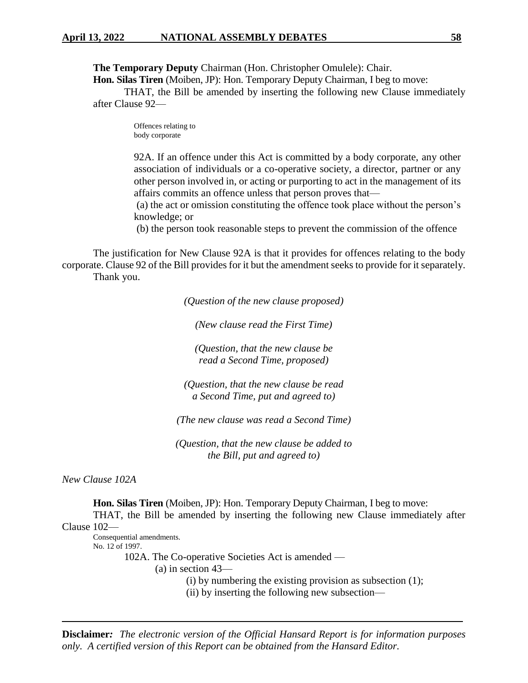**The Temporary Deputy** Chairman (Hon. Christopher Omulele): Chair.

**Hon. Silas Tiren** (Moiben, JP): Hon. Temporary Deputy Chairman, I beg to move:

THAT, the Bill be amended by inserting the following new Clause immediately after Clause 92—

> Offences relating to body corporate

92A. If an offence under this Act is committed by a body corporate, any other association of individuals or a co-operative society, a director, partner or any other person involved in, or acting or purporting to act in the management of its affairs commits an offence unless that person proves that—

(a) the act or omission constituting the offence took place without the person's knowledge; or

(b) the person took reasonable steps to prevent the commission of the offence

The justification for New Clause 92A is that it provides for offences relating to the body corporate. Clause 92 of the Bill provides for it but the amendment seeks to provide for it separately. Thank you.

*(Question of the new clause proposed)*

*(New clause read the First Time)*

*(Question, that the new clause be read a Second Time, proposed)*

*(Question, that the new clause be read a Second Time, put and agreed to)*

*(The new clause was read a Second Time)*

*(Question, that the new clause be added to the Bill, put and agreed to)*

*New Clause 102A*

**Hon. Silas Tiren** (Moiben, JP): Hon. Temporary Deputy Chairman, I beg to move: THAT, the Bill be amended by inserting the following new Clause immediately after

Clause 102—

Consequential amendments. No. 12 of 1997.

102A. The Co-operative Societies Act is amended —

(a) in section 43—

(i) by numbering the existing provision as subsection (1);

(ii) by inserting the following new subsection—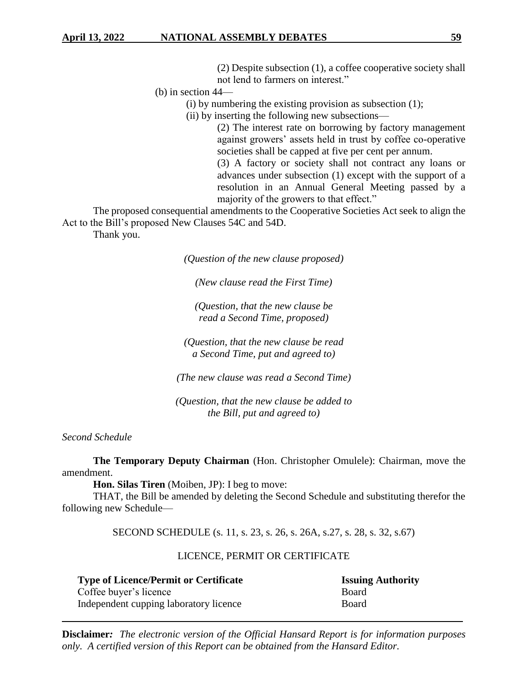(2) Despite subsection (1), a coffee cooperative society shall not lend to farmers on interest."

(b) in section 44—

 $(i)$  by numbering the existing provision as subsection  $(1)$ ;

(ii) by inserting the following new subsections—

(2) The interest rate on borrowing by factory management against growers' assets held in trust by coffee co-operative societies shall be capped at five per cent per annum.

(3) A factory or society shall not contract any loans or advances under subsection (1) except with the support of a resolution in an Annual General Meeting passed by a majority of the growers to that effect."

The proposed consequential amendments to the Cooperative Societies Act seek to align the Act to the Bill's proposed New Clauses 54C and 54D.

Thank you.

*(Question of the new clause proposed)*

*(New clause read the First Time)*

*(Question, that the new clause be read a Second Time, proposed)*

*(Question, that the new clause be read a Second Time, put and agreed to)*

*(The new clause was read a Second Time)*

*(Question, that the new clause be added to the Bill, put and agreed to)*

*Second Schedule*

**The Temporary Deputy Chairman** (Hon. Christopher Omulele): Chairman, move the amendment.

**Hon. Silas Tiren** (Moiben, JP): I beg to move:

THAT, the Bill be amended by deleting the Second Schedule and substituting therefor the following new Schedule—

SECOND SCHEDULE (s. 11, s. 23, s. 26, s. 26A, s.27, s. 28, s. 32, s.67)

# LICENCE, PERMIT OR CERTIFICATE

| <b>Type of Licence/Permit or Certificate</b> | <b>Issuing Authority</b> |
|----------------------------------------------|--------------------------|
| Coffee buyer's licence                       | <b>Board</b>             |
| Independent cupping laboratory licence       | <b>Board</b>             |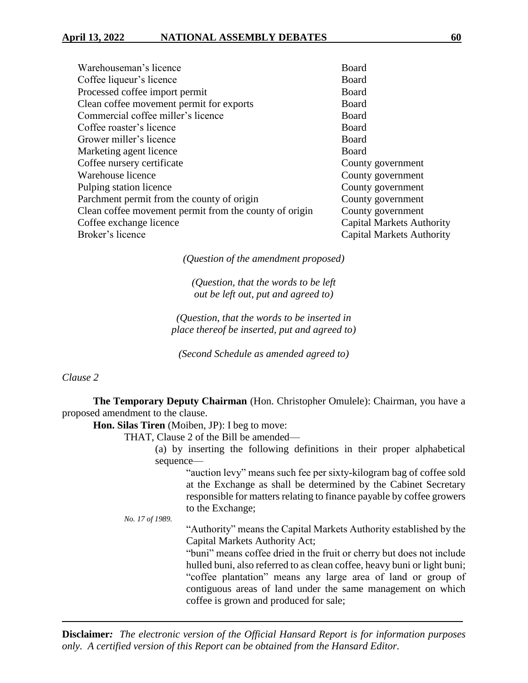| Warehouseman's licence                                 | Board                            |
|--------------------------------------------------------|----------------------------------|
| Coffee liqueur's licence                               | Board                            |
| Processed coffee import permit                         | Board                            |
| Clean coffee movement permit for exports               | Board                            |
| Commercial coffee miller's licence                     | Board                            |
| Coffee roaster's licence                               | Board                            |
| Grower miller's licence                                | Board                            |
| Marketing agent licence                                | Board                            |
| Coffee nursery certificate                             | County government                |
| Warehouse licence                                      | County government                |
| Pulping station licence                                | County government                |
| Parchment permit from the county of origin             | County government                |
| Clean coffee movement permit from the county of origin | County government                |
| Coffee exchange licence                                | <b>Capital Markets Authority</b> |
| Broker's licence                                       | <b>Capital Markets Authority</b> |
|                                                        |                                  |

*(Question of the amendment proposed)*

*(Question, that the words to be left out be left out, put and agreed to)*

*(Question, that the words to be inserted in place thereof be inserted, put and agreed to)*

*(Second Schedule as amended agreed to)*

### *Clause 2*

**The Temporary Deputy Chairman** (Hon. Christopher Omulele): Chairman, you have a proposed amendment to the clause.

**Hon. Silas Tiren** (Moiben, JP): I beg to move:

THAT, Clause 2 of the Bill be amended—

(a) by inserting the following definitions in their proper alphabetical sequence—

> "auction levy" means such fee per sixty-kilogram bag of coffee sold at the Exchange as shall be determined by the Cabinet Secretary responsible for matters relating to finance payable by coffee growers to the Exchange;

*No. 17 of 1989.*

"Authority" means the Capital Markets Authority established by the Capital Markets Authority Act;

"buni" means coffee dried in the fruit or cherry but does not include hulled buni, also referred to as clean coffee, heavy buni or light buni; "coffee plantation" means any large area of land or group of contiguous areas of land under the same management on which coffee is grown and produced for sale;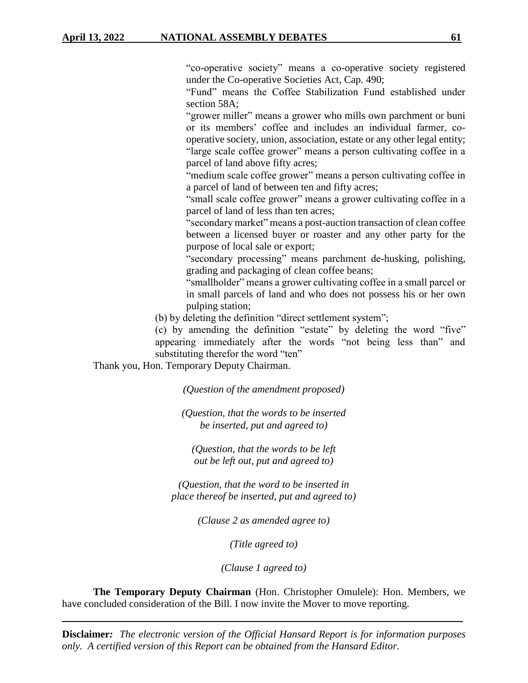"co-operative society" means a co-operative society registered under the Co-operative Societies Act, Cap. 490;

"Fund" means the Coffee Stabilization Fund established under section 58A;

"grower miller" means a grower who mills own parchment or buni or its members' coffee and includes an individual farmer, cooperative society, union, association, estate or any other legal entity; "large scale coffee grower" means a person cultivating coffee in a parcel of land above fifty acres;

"medium scale coffee grower" means a person cultivating coffee in a parcel of land of between ten and fifty acres;

"small scale coffee grower" means a grower cultivating coffee in a parcel of land of less than ten acres;

"secondary market" means a post-auction transaction of clean coffee between a licensed buyer or roaster and any other party for the purpose of local sale or export;

"secondary processing" means parchment de-husking, polishing, grading and packaging of clean coffee beans;

"smallholder" means a grower cultivating coffee in a small parcel or in small parcels of land and who does not possess his or her own pulping station;

(b) by deleting the definition "direct settlement system";

(c) by amending the definition "estate" by deleting the word "five" appearing immediately after the words "not being less than" and substituting therefor the word "ten"

Thank you, Hon. Temporary Deputy Chairman.

*(Question of the amendment proposed)*

*(Question, that the words to be inserted be inserted, put and agreed to)*

*(Question, that the words to be left out be left out, put and agreed to)*

*(Question, that the word to be inserted in place thereof be inserted, put and agreed to)*

*(Clause 2 as amended agree to)*

*(Title agreed to)*

*(Clause 1 agreed to)*

**The Temporary Deputy Chairman** (Hon. Christopher Omulele): Hon. Members, we have concluded consideration of the Bill. I now invite the Mover to move reporting.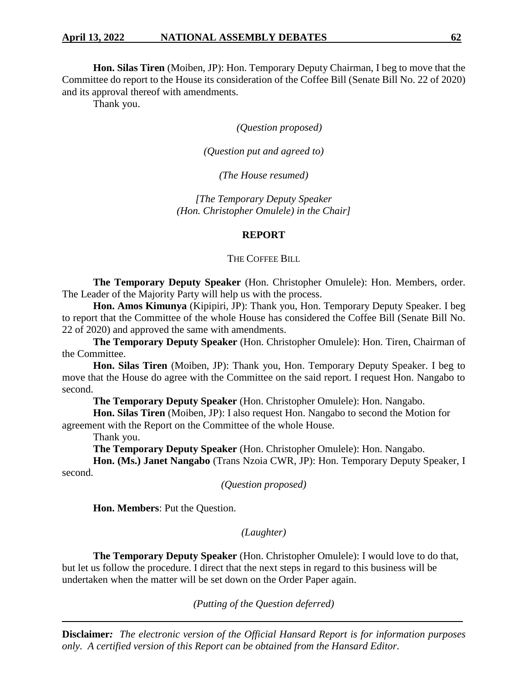**Hon. Silas Tiren** (Moiben, JP): Hon. Temporary Deputy Chairman, I beg to move that the Committee do report to the House its consideration of the Coffee Bill (Senate Bill No. 22 of 2020) and its approval thereof with amendments.

Thank you.

*(Question proposed)*

*(Question put and agreed to)*

*(The House resumed)*

*[The Temporary Deputy Speaker (Hon. Christopher Omulele) in the Chair]*

#### **REPORT**

#### THE COFFEE BILL

**The Temporary Deputy Speaker** (Hon. Christopher Omulele): Hon. Members, order. The Leader of the Majority Party will help us with the process.

**Hon. Amos Kimunya** (Kipipiri, JP): Thank you, Hon. Temporary Deputy Speaker. I beg to report that the Committee of the whole House has considered the Coffee Bill (Senate Bill No. 22 of 2020) and approved the same with amendments.

**The Temporary Deputy Speaker** (Hon. Christopher Omulele): Hon. Tiren, Chairman of the Committee.

**Hon. Silas Tiren** (Moiben, JP): Thank you, Hon. Temporary Deputy Speaker. I beg to move that the House do agree with the Committee on the said report. I request Hon. Nangabo to second.

**The Temporary Deputy Speaker** (Hon. Christopher Omulele): Hon. Nangabo.

**Hon. Silas Tiren** (Moiben, JP): I also request Hon. Nangabo to second the Motion for agreement with the Report on the Committee of the whole House.

Thank you.

**The Temporary Deputy Speaker** (Hon. Christopher Omulele): Hon. Nangabo.

**Hon. (Ms.) Janet Nangabo** (Trans Nzoia CWR, JP): Hon. Temporary Deputy Speaker, I second.

*(Question proposed)*

**Hon. Members**: Put the Question.

*(Laughter)*

**The Temporary Deputy Speaker** (Hon. Christopher Omulele): I would love to do that, but let us follow the procedure. I direct that the next steps in regard to this business will be undertaken when the matter will be set down on the Order Paper again.

*(Putting of the Question deferred)*